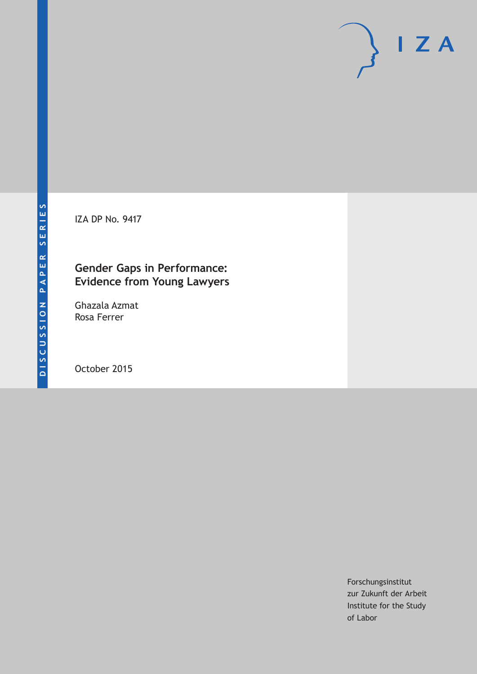IZA DP No. 9417

## **Gender Gaps in Performance: Evidence from Young Lawyers**

Ghazala Azmat Rosa Ferrer

October 2015

Forschungsinstitut zur Zukunft der Arbeit Institute for the Study of Labor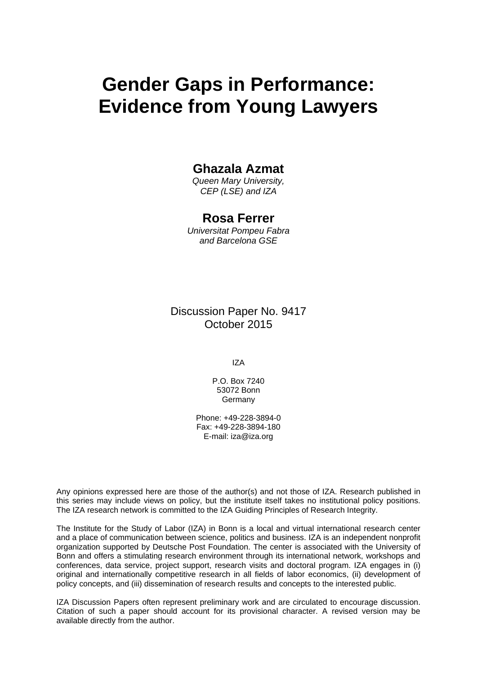# **Gender Gaps in Performance: Evidence from Young Lawyers**

## **Ghazala Azmat**

*Queen Mary University, CEP (LSE) and IZA* 

## **Rosa Ferrer**

*Universitat Pompeu Fabra and Barcelona GSE* 

Discussion Paper No. 9417 October 2015

IZA

P.O. Box 7240 53072 Bonn Germany

Phone: +49-228-3894-0 Fax: +49-228-3894-180 E-mail: iza@iza.org

Any opinions expressed here are those of the author(s) and not those of IZA. Research published in this series may include views on policy, but the institute itself takes no institutional policy positions. The IZA research network is committed to the IZA Guiding Principles of Research Integrity.

The Institute for the Study of Labor (IZA) in Bonn is a local and virtual international research center and a place of communication between science, politics and business. IZA is an independent nonprofit organization supported by Deutsche Post Foundation. The center is associated with the University of Bonn and offers a stimulating research environment through its international network, workshops and conferences, data service, project support, research visits and doctoral program. IZA engages in (i) original and internationally competitive research in all fields of labor economics, (ii) development of policy concepts, and (iii) dissemination of research results and concepts to the interested public.

IZA Discussion Papers often represent preliminary work and are circulated to encourage discussion. Citation of such a paper should account for its provisional character. A revised version may be available directly from the author.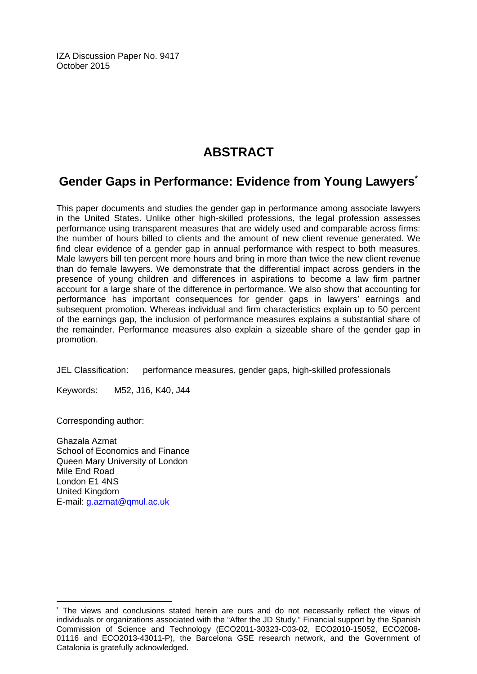IZA Discussion Paper No. 9417 October 2015

## **ABSTRACT**

## **Gender Gaps in Performance: Evidence from Young Lawyers\***

This paper documents and studies the gender gap in performance among associate lawyers in the United States. Unlike other high-skilled professions, the legal profession assesses performance using transparent measures that are widely used and comparable across firms: the number of hours billed to clients and the amount of new client revenue generated. We find clear evidence of a gender gap in annual performance with respect to both measures. Male lawyers bill ten percent more hours and bring in more than twice the new client revenue than do female lawyers. We demonstrate that the differential impact across genders in the presence of young children and differences in aspirations to become a law firm partner account for a large share of the difference in performance. We also show that accounting for performance has important consequences for gender gaps in lawyers' earnings and subsequent promotion. Whereas individual and firm characteristics explain up to 50 percent of the earnings gap, the inclusion of performance measures explains a substantial share of the remainder. Performance measures also explain a sizeable share of the gender gap in promotion.

JEL Classification: performance measures, gender gaps, high-skilled professionals

Keywords: M52, J16, K40, J44

Corresponding author:

 $\overline{a}$ 

Ghazala Azmat School of Economics and Finance Queen Mary University of London Mile End Road London E1 4NS United Kingdom E-mail: g.azmat@qmul.ac.uk

<sup>\*</sup> The views and conclusions stated herein are ours and do not necessarily reflect the views of individuals or organizations associated with the "After the JD Study." Financial support by the Spanish Commission of Science and Technology (ECO2011-30323-C03-02, ECO2010-15052, ECO2008- 01116 and ECO2013-43011-P), the Barcelona GSE research network, and the Government of Catalonia is gratefully acknowledged.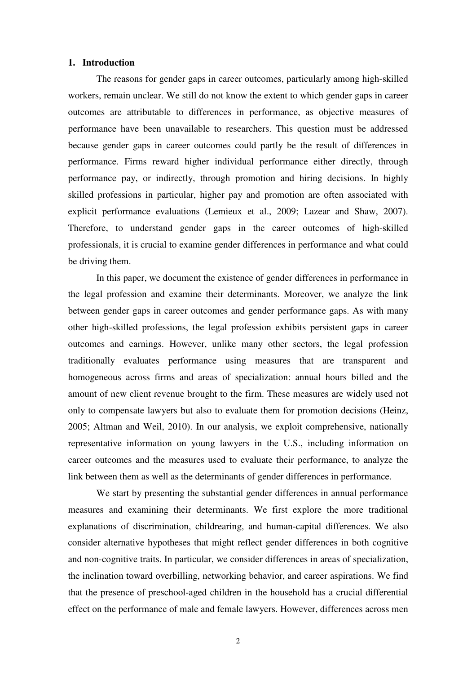#### **1. Introduction**

The reasons for gender gaps in career outcomes, particularly among high-skilled workers, remain unclear. We still do not know the extent to which gender gaps in career outcomes are attributable to differences in performance, as objective measures of performance have been unavailable to researchers. This question must be addressed because gender gaps in career outcomes could partly be the result of differences in performance. Firms reward higher individual performance either directly, through performance pay, or indirectly, through promotion and hiring decisions. In highly skilled professions in particular, higher pay and promotion are often associated with explicit performance evaluations (Lemieux et al., 2009; Lazear and Shaw, 2007). Therefore, to understand gender gaps in the career outcomes of high-skilled professionals, it is crucial to examine gender differences in performance and what could be driving them.

In this paper, we document the existence of gender differences in performance in the legal profession and examine their determinants. Moreover, we analyze the link between gender gaps in career outcomes and gender performance gaps. As with many other high-skilled professions, the legal profession exhibits persistent gaps in career outcomes and earnings. However, unlike many other sectors, the legal profession traditionally evaluates performance using measures that are transparent and homogeneous across firms and areas of specialization: annual hours billed and the amount of new client revenue brought to the firm. These measures are widely used not only to compensate lawyers but also to evaluate them for promotion decisions (Heinz, 2005; Altman and Weil, 2010). In our analysis, we exploit comprehensive, nationally representative information on young lawyers in the U.S., including information on career outcomes and the measures used to evaluate their performance, to analyze the link between them as well as the determinants of gender differences in performance.

We start by presenting the substantial gender differences in annual performance measures and examining their determinants. We first explore the more traditional explanations of discrimination, childrearing, and human-capital differences. We also consider alternative hypotheses that might reflect gender differences in both cognitive and non-cognitive traits. In particular, we consider differences in areas of specialization, the inclination toward overbilling, networking behavior, and career aspirations. We find that the presence of preschool-aged children in the household has a crucial differential effect on the performance of male and female lawyers. However, differences across men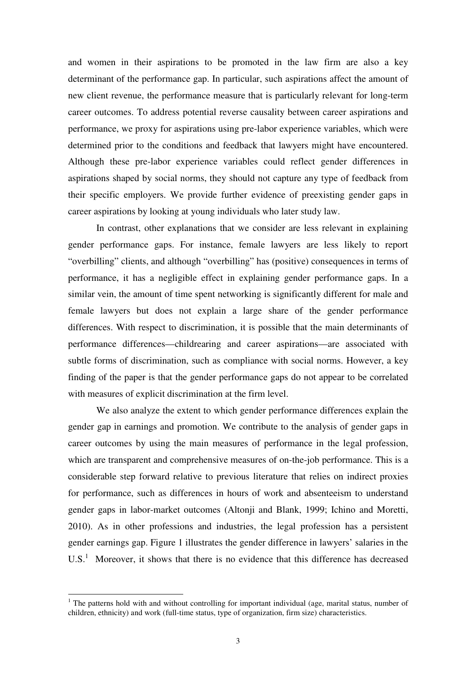and women in their aspirations to be promoted in the law firm are also a key determinant of the performance gap. In particular, such aspirations affect the amount of new client revenue, the performance measure that is particularly relevant for long-term career outcomes. To address potential reverse causality between career aspirations and performance, we proxy for aspirations using pre-labor experience variables, which were determined prior to the conditions and feedback that lawyers might have encountered. Although these pre-labor experience variables could reflect gender differences in aspirations shaped by social norms, they should not capture any type of feedback from their specific employers. We provide further evidence of preexisting gender gaps in career aspirations by looking at young individuals who later study law.

In contrast, other explanations that we consider are less relevant in explaining gender performance gaps. For instance, female lawyers are less likely to report "overbilling" clients, and although "overbilling" has (positive) consequences in terms of performance, it has a negligible effect in explaining gender performance gaps. In a similar vein, the amount of time spent networking is significantly different for male and female lawyers but does not explain a large share of the gender performance differences. With respect to discrimination, it is possible that the main determinants of performance differences—childrearing and career aspirations—are associated with subtle forms of discrimination, such as compliance with social norms. However, a key finding of the paper is that the gender performance gaps do not appear to be correlated with measures of explicit discrimination at the firm level.

We also analyze the extent to which gender performance differences explain the gender gap in earnings and promotion. We contribute to the analysis of gender gaps in career outcomes by using the main measures of performance in the legal profession, which are transparent and comprehensive measures of on-the-job performance. This is a considerable step forward relative to previous literature that relies on indirect proxies for performance, such as differences in hours of work and absenteeism to understand gender gaps in labor-market outcomes (Altonji and Blank, 1999; Ichino and Moretti, 2010). As in other professions and industries, the legal profession has a persistent gender earnings gap. Figure 1 illustrates the gender difference in lawyers' salaries in the  $U.S.<sup>1</sup>$  Moreover, it shows that there is no evidence that this difference has decreased

 $\overline{a}$ 

<sup>&</sup>lt;sup>1</sup> The patterns hold with and without controlling for important individual (age, marital status, number of children, ethnicity) and work (full-time status, type of organization, firm size) characteristics.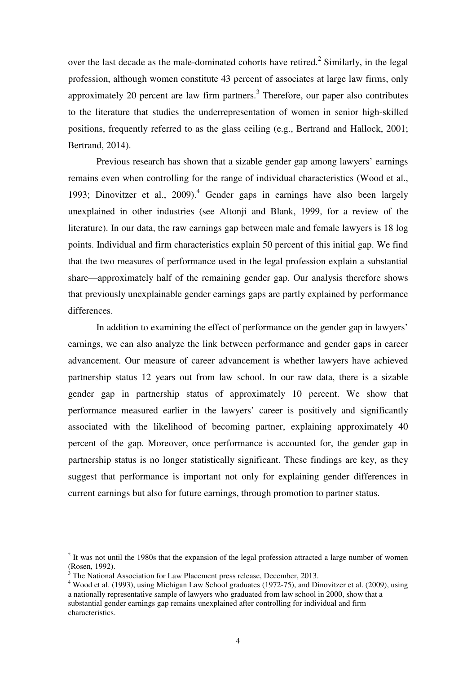over the last decade as the male-dominated cohorts have retired.<sup>2</sup> Similarly, in the legal profession, although women constitute 43 percent of associates at large law firms, only approximately 20 percent are law firm partners.<sup>3</sup> Therefore, our paper also contributes to the literature that studies the underrepresentation of women in senior high-skilled positions, frequently referred to as the glass ceiling (e.g., Bertrand and Hallock, 2001; Bertrand, 2014).

Previous research has shown that a sizable gender gap among lawyers' earnings remains even when controlling for the range of individual characteristics (Wood et al., 1993; Dinovitzer et al., 2009).<sup>4</sup> Gender gaps in earnings have also been largely unexplained in other industries (see Altonji and Blank, 1999, for a review of the literature). In our data, the raw earnings gap between male and female lawyers is 18 log points. Individual and firm characteristics explain 50 percent of this initial gap. We find that the two measures of performance used in the legal profession explain a substantial share—approximately half of the remaining gender gap. Our analysis therefore shows that previously unexplainable gender earnings gaps are partly explained by performance differences.

In addition to examining the effect of performance on the gender gap in lawyers' earnings, we can also analyze the link between performance and gender gaps in career advancement. Our measure of career advancement is whether lawyers have achieved partnership status 12 years out from law school. In our raw data, there is a sizable gender gap in partnership status of approximately 10 percent. We show that performance measured earlier in the lawyers' career is positively and significantly associated with the likelihood of becoming partner, explaining approximately 40 percent of the gap. Moreover, once performance is accounted for, the gender gap in partnership status is no longer statistically significant. These findings are key, as they suggest that performance is important not only for explaining gender differences in current earnings but also for future earnings, through promotion to partner status.

 $\overline{a}$ 

 $2$  It was not until the 1980s that the expansion of the legal profession attracted a large number of women (Rosen, 1992).

 $3$  The National Association for Law Placement press release, December, 2013.

<sup>&</sup>lt;sup>4</sup> Wood et al. (1993), using Michigan Law School graduates (1972-75), and Dinovitzer et al. (2009), using a nationally representative sample of lawyers who graduated from law school in 2000, show that a substantial gender earnings gap remains unexplained after controlling for individual and firm characteristics.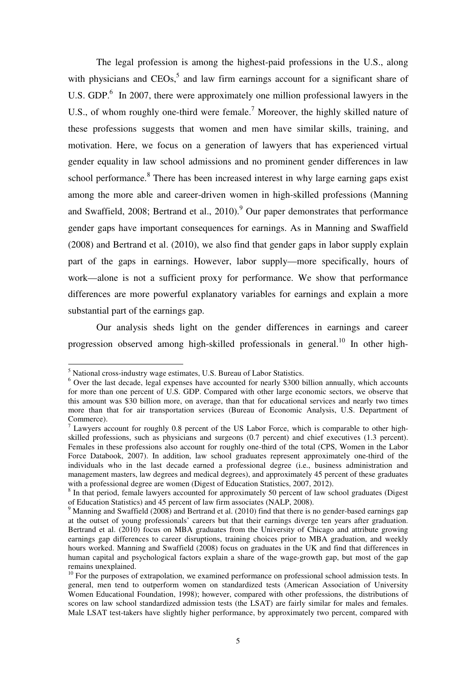The legal profession is among the highest-paid professions in the U.S., along with physicians and  $CEOs<sub>2</sub>$ <sup>5</sup> and law firm earnings account for a significant share of U.S. GDP.<sup>6</sup> In 2007, there were approximately one million professional lawyers in the U.S., of whom roughly one-third were female.<sup>7</sup> Moreover, the highly skilled nature of these professions suggests that women and men have similar skills, training, and motivation. Here, we focus on a generation of lawyers that has experienced virtual gender equality in law school admissions and no prominent gender differences in law school performance.<sup>8</sup> There has been increased interest in why large earning gaps exist among the more able and career-driven women in high-skilled professions (Manning and Swaffield, 2008; Bertrand et al., 2010). $^{9}$  Our paper demonstrates that performance gender gaps have important consequences for earnings. As in Manning and Swaffield (2008) and Bertrand et al. (2010), we also find that gender gaps in labor supply explain part of the gaps in earnings. However, labor supply—more specifically, hours of work—alone is not a sufficient proxy for performance. We show that performance differences are more powerful explanatory variables for earnings and explain a more substantial part of the earnings gap.

Our analysis sheds light on the gender differences in earnings and career progression observed among high-skilled professionals in general.<sup>10</sup> In other high-

 5 National cross-industry wage estimates, U.S. Bureau of Labor Statistics.

<sup>&</sup>lt;sup>6</sup> Over the last decade, legal expenses have accounted for nearly \$300 billion annually, which accounts for more than one percent of U.S. GDP. Compared with other large economic sectors, we observe that this amount was \$30 billion more, on average, than that for educational services and nearly two times more than that for air transportation services (Bureau of Economic Analysis, U.S. Department of Commerce).

 $<sup>7</sup>$  Lawyers account for roughly 0.8 percent of the US Labor Force, which is comparable to other high-</sup> skilled professions, such as physicians and surgeons (0.7 percent) and chief executives (1.3 percent). Females in these professions also account for roughly one-third of the total (CPS, Women in the Labor Force Databook, 2007). In addition, law school graduates represent approximately one-third of the individuals who in the last decade earned a professional degree (i.e., business administration and management masters, law degrees and medical degrees), and approximately 45 percent of these graduates with a professional degree are women (Digest of Education Statistics, 2007, 2012).

<sup>&</sup>lt;sup>8</sup> In that period, female lawyers accounted for approximately 50 percent of law school graduates (Digest of Education Statistics) and 45 percent of law firm associates (NALP, 2008).

 $9$  Manning and Swaffield (2008) and Bertrand et al. (2010) find that there is no gender-based earnings gap at the outset of young professionals' careers but that their earnings diverge ten years after graduation. Bertrand et al. (2010) focus on MBA graduates from the University of Chicago and attribute growing earnings gap differences to career disruptions, training choices prior to MBA graduation, and weekly hours worked. Manning and Swaffield (2008) focus on graduates in the UK and find that differences in human capital and psychological factors explain a share of the wage-growth gap, but most of the gap remains unexplained.

 $10$  For the purposes of extrapolation, we examined performance on professional school admission tests. In general, men tend to outperform women on standardized tests (American Association of University Women Educational Foundation, 1998); however, compared with other professions, the distributions of scores on law school standardized admission tests (the LSAT) are fairly similar for males and females. Male LSAT test-takers have slightly higher performance, by approximately two percent, compared with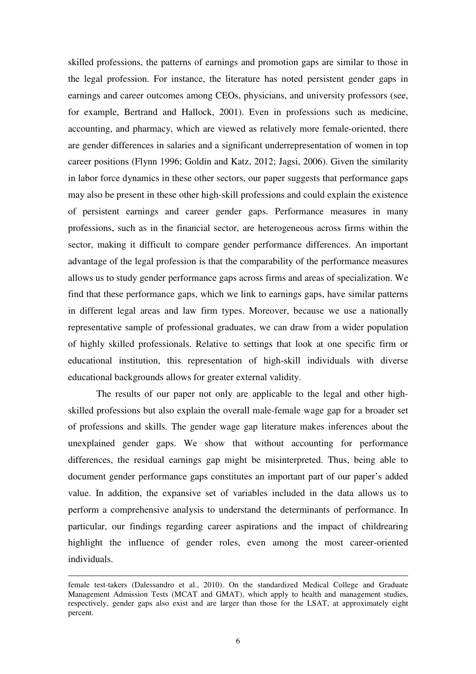skilled professions, the patterns of earnings and promotion gaps are similar to those in the legal profession. For instance, the literature has noted persistent gender gaps in earnings and career outcomes among CEOs, physicians, and university professors (see, for example, Bertrand and Hallock, 2001). Even in professions such as medicine, accounting, and pharmacy, which are viewed as relatively more female-oriented, there are gender differences in salaries and a significant underrepresentation of women in top career positions (Flynn 1996; Goldin and Katz, 2012; Jagsi, 2006). Given the similarity in labor force dynamics in these other sectors, our paper suggests that performance gaps may also be present in these other high-skill professions and could explain the existence of persistent earnings and career gender gaps. Performance measures in many professions, such as in the financial sector, are heterogeneous across firms within the sector, making it difficult to compare gender performance differences. An important advantage of the legal profession is that the comparability of the performance measures allows us to study gender performance gaps across firms and areas of specialization. We find that these performance gaps, which we link to earnings gaps, have similar patterns in different legal areas and law firm types. Moreover, because we use a nationally representative sample of professional graduates, we can draw from a wider population of highly skilled professionals. Relative to settings that look at one specific firm or educational institution, this representation of high-skill individuals with diverse educational backgrounds allows for greater external validity.

The results of our paper not only are applicable to the legal and other highskilled professions but also explain the overall male-female wage gap for a broader set of professions and skills. The gender wage gap literature makes inferences about the unexplained gender gaps. We show that without accounting for performance differences, the residual earnings gap might be misinterpreted. Thus, being able to document gender performance gaps constitutes an important part of our paper's added value. In addition, the expansive set of variables included in the data allows us to perform a comprehensive analysis to understand the determinants of performance. In particular, our findings regarding career aspirations and the impact of childrearing highlight the influence of gender roles, even among the most career-oriented individuals.

-

female test-takers (Dalessandro et al., 2010). On the standardized Medical College and Graduate Management Admission Tests (MCAT and GMAT), which apply to health and management studies, respectively, gender gaps also exist and are larger than those for the LSAT, at approximately eight percent.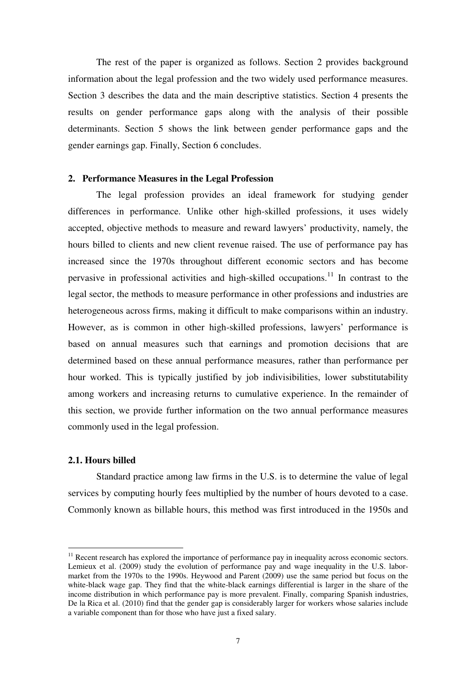The rest of the paper is organized as follows. Section 2 provides background information about the legal profession and the two widely used performance measures. Section 3 describes the data and the main descriptive statistics. Section 4 presents the results on gender performance gaps along with the analysis of their possible determinants. Section 5 shows the link between gender performance gaps and the gender earnings gap. Finally, Section 6 concludes.

#### **2. Performance Measures in the Legal Profession**

The legal profession provides an ideal framework for studying gender differences in performance. Unlike other high-skilled professions, it uses widely accepted, objective methods to measure and reward lawyers' productivity, namely, the hours billed to clients and new client revenue raised. The use of performance pay has increased since the 1970s throughout different economic sectors and has become pervasive in professional activities and high-skilled occupations.<sup>11</sup> In contrast to the legal sector, the methods to measure performance in other professions and industries are heterogeneous across firms, making it difficult to make comparisons within an industry. However, as is common in other high-skilled professions, lawyers' performance is based on annual measures such that earnings and promotion decisions that are determined based on these annual performance measures, rather than performance per hour worked. This is typically justified by job indivisibilities, lower substitutability among workers and increasing returns to cumulative experience. In the remainder of this section, we provide further information on the two annual performance measures commonly used in the legal profession.

#### **2.1. Hours billed**

 $\overline{a}$ 

Standard practice among law firms in the U.S. is to determine the value of legal services by computing hourly fees multiplied by the number of hours devoted to a case. Commonly known as billable hours, this method was first introduced in the 1950s and

 $11$  Recent research has explored the importance of performance pay in inequality across economic sectors. Lemieux et al. (2009) study the evolution of performance pay and wage inequality in the U.S. labormarket from the 1970s to the 1990s. Heywood and Parent (2009) use the same period but focus on the white-black wage gap. They find that the white-black earnings differential is larger in the share of the income distribution in which performance pay is more prevalent. Finally, comparing Spanish industries, De la Rica et al. (2010) find that the gender gap is considerably larger for workers whose salaries include a variable component than for those who have just a fixed salary.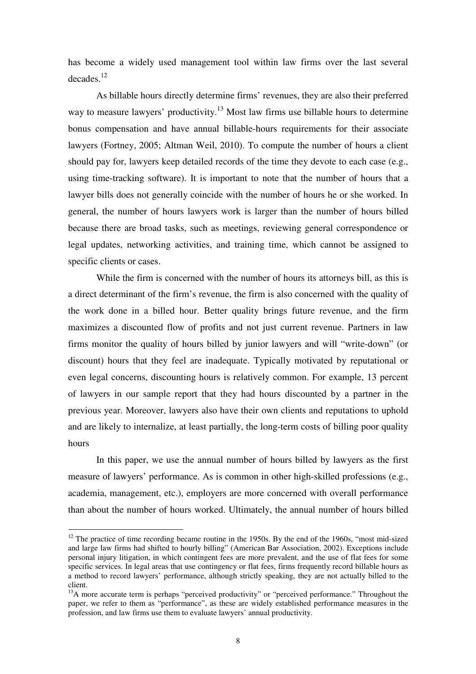has become a widely used management tool within law firms over the last several decades.<sup>12</sup>

As billable hours directly determine firms' revenues, they are also their preferred way to measure lawyers' productivity.<sup>13</sup> Most law firms use billable hours to determine bonus compensation and have annual billable-hours requirements for their associate lawyers (Fortney, 2005; Altman Weil, 2010). To compute the number of hours a client should pay for, lawyers keep detailed records of the time they devote to each case (e.g., using time-tracking software). It is important to note that the number of hours that a lawyer bills does not generally coincide with the number of hours he or she worked. In general, the number of hours lawyers work is larger than the number of hours billed because there are broad tasks, such as meetings, reviewing general correspondence or legal updates, networking activities, and training time, which cannot be assigned to specific clients or cases.

While the firm is concerned with the number of hours its attorneys bill, as this is a direct determinant of the firm's revenue, the firm is also concerned with the quality of the work done in a billed hour. Better quality brings future revenue, and the firm maximizes a discounted flow of profits and not just current revenue. Partners in law firms monitor the quality of hours billed by junior lawyers and will "write-down" (or discount) hours that they feel are inadequate. Typically motivated by reputational or even legal concerns, discounting hours is relatively common. For example, 13 percent of lawyers in our sample report that they had hours discounted by a partner in the previous year. Moreover, lawyers also have their own clients and reputations to uphold and are likely to internalize, at least partially, the long-term costs of billing poor quality hours

In this paper, we use the annual number of hours billed by lawyers as the first measure of lawyers' performance. As is common in other high-skilled professions (e.g., academia, management, etc.), employers are more concerned with overall performance than about the number of hours worked. Ultimately, the annual number of hours billed

 $\overline{a}$ 

 $12$  The practice of time recording became routine in the 1950s. By the end of the 1960s, "most mid-sized and large law firms had shifted to hourly billing" (American Bar Association, 2002). Exceptions include personal injury litigation, in which contingent fees are more prevalent, and the use of flat fees for some specific services. In legal areas that use contingency or flat fees, firms frequently record billable hours as a method to record lawyers' performance, although strictly speaking, they are not actually billed to the client.

 $13A$  more accurate term is perhaps "perceived productivity" or "perceived performance." Throughout the paper, we refer to them as "performance", as these are widely established performance measures in the profession, and law firms use them to evaluate lawyers' annual productivity.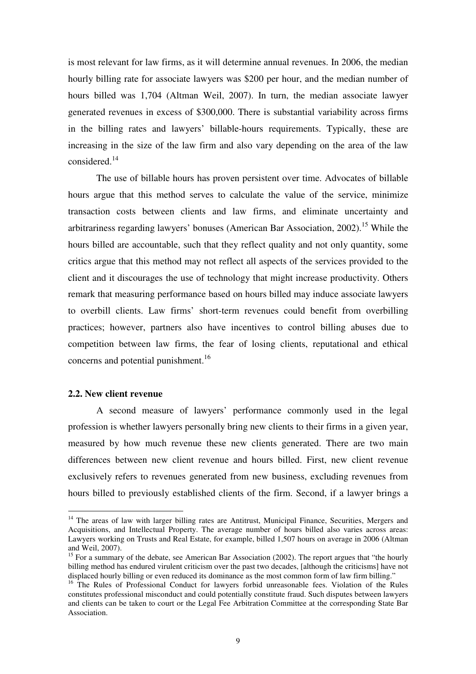is most relevant for law firms, as it will determine annual revenues. In 2006, the median hourly billing rate for associate lawyers was \$200 per hour, and the median number of hours billed was 1,704 (Altman Weil, 2007). In turn, the median associate lawyer generated revenues in excess of \$300,000. There is substantial variability across firms in the billing rates and lawyers' billable-hours requirements. Typically, these are increasing in the size of the law firm and also vary depending on the area of the law considered.<sup>14</sup>

The use of billable hours has proven persistent over time. Advocates of billable hours argue that this method serves to calculate the value of the service, minimize transaction costs between clients and law firms, and eliminate uncertainty and arbitrariness regarding lawyers' bonuses (American Bar Association, 2002).<sup>15</sup> While the hours billed are accountable, such that they reflect quality and not only quantity, some critics argue that this method may not reflect all aspects of the services provided to the client and it discourages the use of technology that might increase productivity. Others remark that measuring performance based on hours billed may induce associate lawyers to overbill clients. Law firms' short-term revenues could benefit from overbilling practices; however, partners also have incentives to control billing abuses due to competition between law firms, the fear of losing clients, reputational and ethical concerns and potential punishment.<sup>16</sup>

#### **2.2. New client revenue**

 $\overline{a}$ 

A second measure of lawyers' performance commonly used in the legal profession is whether lawyers personally bring new clients to their firms in a given year, measured by how much revenue these new clients generated. There are two main differences between new client revenue and hours billed. First, new client revenue exclusively refers to revenues generated from new business, excluding revenues from hours billed to previously established clients of the firm. Second, if a lawyer brings a

<sup>&</sup>lt;sup>14</sup> The areas of law with larger billing rates are Antitrust, Municipal Finance, Securities, Mergers and Acquisitions, and Intellectual Property. The average number of hours billed also varies across areas: Lawyers working on Trusts and Real Estate, for example, billed 1,507 hours on average in 2006 (Altman and Weil, 2007).

<sup>&</sup>lt;sup>15</sup> For a summary of the debate, see American Bar Association (2002). The report argues that "the hourly billing method has endured virulent criticism over the past two decades, [although the criticisms] have not displaced hourly billing or even reduced its dominance as the most common form of law firm billing."

<sup>&</sup>lt;sup>16</sup> The Rules of Professional Conduct for lawyers forbid unreasonable fees. Violation of the Rules constitutes professional misconduct and could potentially constitute fraud. Such disputes between lawyers and clients can be taken to court or the Legal Fee Arbitration Committee at the corresponding State Bar Association.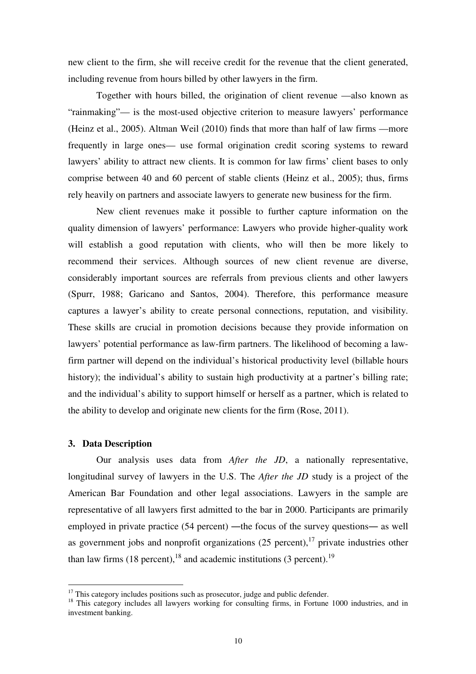new client to the firm, she will receive credit for the revenue that the client generated, including revenue from hours billed by other lawyers in the firm.

Together with hours billed, the origination of client revenue —also known as "rainmaking"— is the most-used objective criterion to measure lawyers' performance (Heinz et al., 2005). Altman Weil (2010) finds that more than half of law firms —more frequently in large ones— use formal origination credit scoring systems to reward lawyers' ability to attract new clients. It is common for law firms' client bases to only comprise between 40 and 60 percent of stable clients (Heinz et al., 2005); thus, firms rely heavily on partners and associate lawyers to generate new business for the firm.

New client revenues make it possible to further capture information on the quality dimension of lawyers' performance: Lawyers who provide higher-quality work will establish a good reputation with clients, who will then be more likely to recommend their services. Although sources of new client revenue are diverse, considerably important sources are referrals from previous clients and other lawyers (Spurr, 1988; Garicano and Santos, 2004). Therefore, this performance measure captures a lawyer's ability to create personal connections, reputation, and visibility. These skills are crucial in promotion decisions because they provide information on lawyers' potential performance as law-firm partners. The likelihood of becoming a lawfirm partner will depend on the individual's historical productivity level (billable hours history); the individual's ability to sustain high productivity at a partner's billing rate; and the individual's ability to support himself or herself as a partner, which is related to the ability to develop and originate new clients for the firm (Rose, 2011).

#### **3. Data Description**

 $\overline{a}$ 

Our analysis uses data from *After the JD*, a nationally representative, longitudinal survey of lawyers in the U.S. The *After the JD* study is a project of the American Bar Foundation and other legal associations. Lawyers in the sample are representative of all lawyers first admitted to the bar in 2000. Participants are primarily employed in private practice (54 percent) —the focus of the survey questions— as well as government jobs and nonprofit organizations  $(25 \text{ percent})$ ,<sup>17</sup> private industries other than law firms  $(18 \text{ percent})$ ,<sup>18</sup> and academic institutions  $(3 \text{ percent})$ .<sup>19</sup>

 $17$  This category includes positions such as prosecutor, judge and public defender.

<sup>&</sup>lt;sup>18</sup> This category includes all lawyers working for consulting firms, in Fortune 1000 industries, and in investment banking.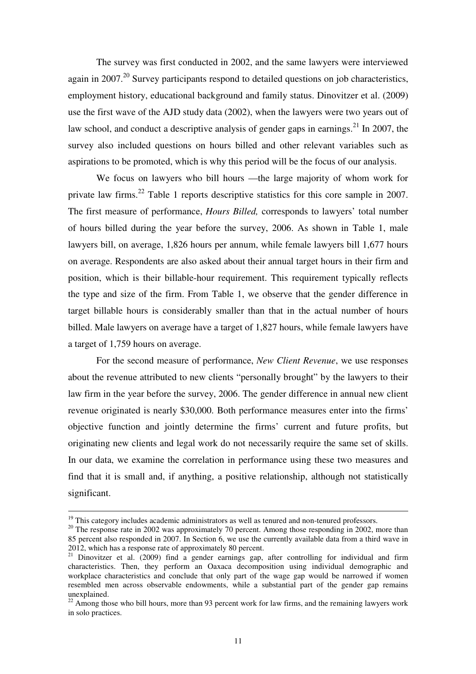The survey was first conducted in 2002, and the same lawyers were interviewed again in  $2007<sup>20</sup>$  Survey participants respond to detailed questions on job characteristics, employment history, educational background and family status. Dinovitzer et al. (2009) use the first wave of the AJD study data (2002), when the lawyers were two years out of law school, and conduct a descriptive analysis of gender gaps in earnings.<sup>21</sup> In 2007, the survey also included questions on hours billed and other relevant variables such as aspirations to be promoted, which is why this period will be the focus of our analysis.

We focus on lawyers who bill hours —the large majority of whom work for private law firms.<sup>22</sup> Table 1 reports descriptive statistics for this core sample in 2007. The first measure of performance, *Hours Billed,* corresponds to lawyers' total number of hours billed during the year before the survey, 2006. As shown in Table 1, male lawyers bill, on average, 1,826 hours per annum, while female lawyers bill 1,677 hours on average. Respondents are also asked about their annual target hours in their firm and position, which is their billable-hour requirement. This requirement typically reflects the type and size of the firm. From Table 1, we observe that the gender difference in target billable hours is considerably smaller than that in the actual number of hours billed. Male lawyers on average have a target of 1,827 hours, while female lawyers have a target of 1,759 hours on average.

For the second measure of performance, *New Client Revenue*, we use responses about the revenue attributed to new clients "personally brought" by the lawyers to their law firm in the year before the survey, 2006. The gender difference in annual new client revenue originated is nearly \$30,000. Both performance measures enter into the firms' objective function and jointly determine the firms' current and future profits, but originating new clients and legal work do not necessarily require the same set of skills. In our data, we examine the correlation in performance using these two measures and find that it is small and, if anything, a positive relationship, although not statistically significant.

<u>.</u>

 $19$  This category includes academic administrators as well as tenured and non-tenured professors.

<sup>&</sup>lt;sup>20</sup> The response rate in 2002 was approximately 70 percent. Among those responding in 2002, more than 85 percent also responded in 2007. In Section 6, we use the currently available data from a third wave in 2012, which has a response rate of approximately 80 percent.

<sup>&</sup>lt;sup>21</sup> Dinovitzer et al. (2009) find a gender earnings gap, after controlling for individual and firm characteristics. Then, they perform an Oaxaca decomposition using individual demographic and workplace characteristics and conclude that only part of the wage gap would be narrowed if women resembled men across observable endowments, while a substantial part of the gender gap remains unexplained.

 $22$  Among those who bill hours, more than 93 percent work for law firms, and the remaining lawyers work in solo practices.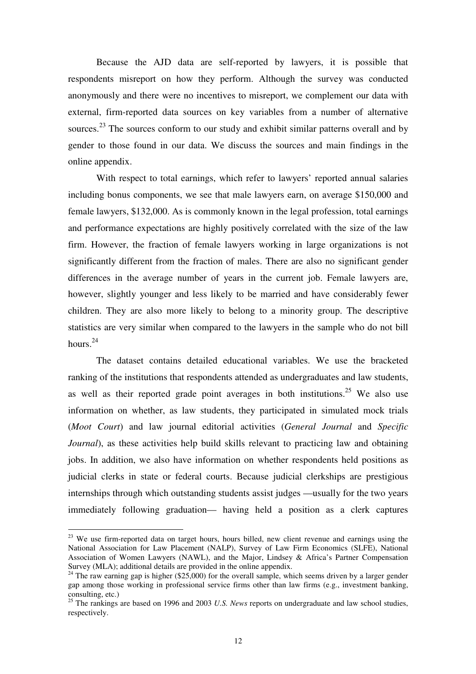Because the AJD data are self-reported by lawyers, it is possible that respondents misreport on how they perform. Although the survey was conducted anonymously and there were no incentives to misreport, we complement our data with external, firm-reported data sources on key variables from a number of alternative sources.<sup>23</sup> The sources conform to our study and exhibit similar patterns overall and by gender to those found in our data. We discuss the sources and main findings in the online appendix.

With respect to total earnings, which refer to lawyers' reported annual salaries including bonus components, we see that male lawyers earn, on average \$150,000 and female lawyers, \$132,000. As is commonly known in the legal profession, total earnings and performance expectations are highly positively correlated with the size of the law firm. However, the fraction of female lawyers working in large organizations is not significantly different from the fraction of males. There are also no significant gender differences in the average number of years in the current job. Female lawyers are, however, slightly younger and less likely to be married and have considerably fewer children. They are also more likely to belong to a minority group. The descriptive statistics are very similar when compared to the lawyers in the sample who do not bill hours.<sup>24</sup>

The dataset contains detailed educational variables. We use the bracketed ranking of the institutions that respondents attended as undergraduates and law students, as well as their reported grade point averages in both institutions.<sup>25</sup> We also use information on whether, as law students, they participated in simulated mock trials (*Moot Court*) and law journal editorial activities (*General Journal* and *Specific Journal*), as these activities help build skills relevant to practicing law and obtaining jobs. In addition, we also have information on whether respondents held positions as judicial clerks in state or federal courts. Because judicial clerkships are prestigious internships through which outstanding students assist judges —usually for the two years immediately following graduation— having held a position as a clerk captures

 $\overline{a}$ 

 $23$  We use firm-reported data on target hours, hours billed, new client revenue and earnings using the National Association for Law Placement (NALP), Survey of Law Firm Economics (SLFE), National Association of Women Lawyers (NAWL), and the Major, Lindsey & Africa's Partner Compensation Survey (MLA); additional details are provided in the online appendix.

<sup>&</sup>lt;sup>24</sup> The raw earning gap is higher (\$25,000) for the overall sample, which seems driven by a larger gender gap among those working in professional service firms other than law firms (e.g., investment banking, consulting, etc.)

<sup>25</sup> The rankings are based on 1996 and 2003 *U.S. News* reports on undergraduate and law school studies, respectively.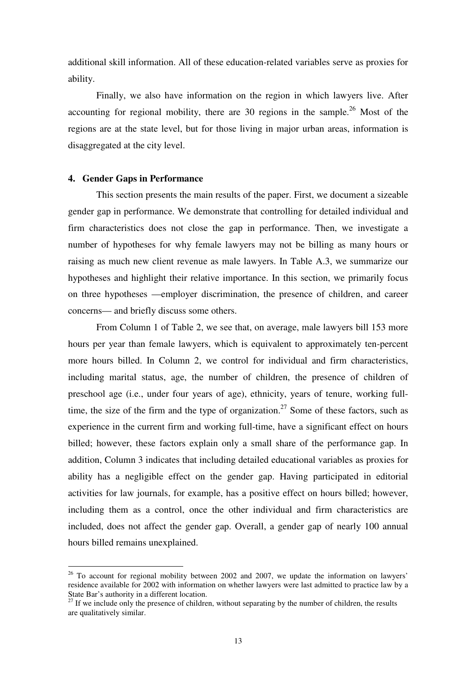additional skill information. All of these education-related variables serve as proxies for ability.

Finally, we also have information on the region in which lawyers live. After accounting for regional mobility, there are 30 regions in the sample.<sup>26</sup> Most of the regions are at the state level, but for those living in major urban areas, information is disaggregated at the city level.

#### **4. Gender Gaps in Performance**

 $\overline{a}$ 

This section presents the main results of the paper. First, we document a sizeable gender gap in performance. We demonstrate that controlling for detailed individual and firm characteristics does not close the gap in performance. Then, we investigate a number of hypotheses for why female lawyers may not be billing as many hours or raising as much new client revenue as male lawyers. In Table A.3, we summarize our hypotheses and highlight their relative importance. In this section, we primarily focus on three hypotheses —employer discrimination, the presence of children, and career concerns— and briefly discuss some others.

From Column 1 of Table 2, we see that, on average, male lawyers bill 153 more hours per year than female lawyers, which is equivalent to approximately ten-percent more hours billed. In Column 2, we control for individual and firm characteristics, including marital status, age, the number of children, the presence of children of preschool age (i.e., under four years of age), ethnicity, years of tenure, working fulltime, the size of the firm and the type of organization.<sup>27</sup> Some of these factors, such as experience in the current firm and working full-time, have a significant effect on hours billed; however, these factors explain only a small share of the performance gap. In addition, Column 3 indicates that including detailed educational variables as proxies for ability has a negligible effect on the gender gap. Having participated in editorial activities for law journals, for example, has a positive effect on hours billed; however, including them as a control, once the other individual and firm characteristics are included, does not affect the gender gap. Overall, a gender gap of nearly 100 annual hours billed remains unexplained.

 $26$  To account for regional mobility between 2002 and 2007, we update the information on lawyers' residence available for 2002 with information on whether lawyers were last admitted to practice law by a State Bar's authority in a different location.

 $27$  If we include only the presence of children, without separating by the number of children, the results are qualitatively similar.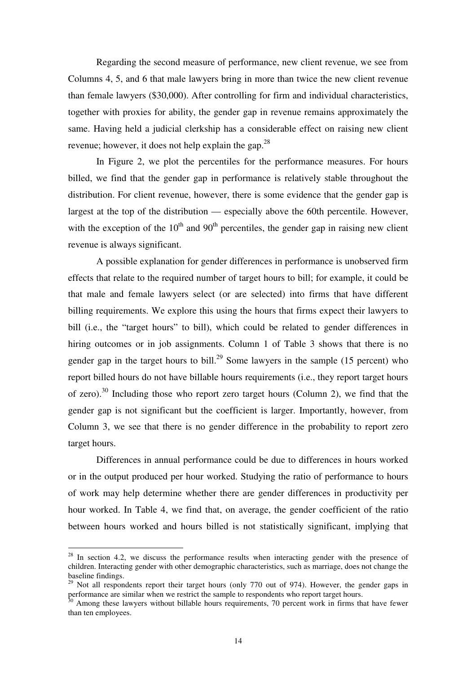Regarding the second measure of performance, new client revenue, we see from Columns 4, 5, and 6 that male lawyers bring in more than twice the new client revenue than female lawyers (\$30,000). After controlling for firm and individual characteristics, together with proxies for ability, the gender gap in revenue remains approximately the same. Having held a judicial clerkship has a considerable effect on raising new client revenue; however, it does not help explain the gap.<sup>28</sup>

In Figure 2, we plot the percentiles for the performance measures. For hours billed, we find that the gender gap in performance is relatively stable throughout the distribution. For client revenue, however, there is some evidence that the gender gap is largest at the top of the distribution — especially above the 60th percentile. However, with the exception of the  $10<sup>th</sup>$  and  $90<sup>th</sup>$  percentiles, the gender gap in raising new client revenue is always significant.

A possible explanation for gender differences in performance is unobserved firm effects that relate to the required number of target hours to bill; for example, it could be that male and female lawyers select (or are selected) into firms that have different billing requirements. We explore this using the hours that firms expect their lawyers to bill (i.e., the "target hours" to bill), which could be related to gender differences in hiring outcomes or in job assignments. Column 1 of Table 3 shows that there is no gender gap in the target hours to bill.<sup>29</sup> Some lawyers in the sample (15 percent) who report billed hours do not have billable hours requirements (i.e., they report target hours of zero).<sup>30</sup> Including those who report zero target hours (Column 2), we find that the gender gap is not significant but the coefficient is larger. Importantly, however, from Column 3, we see that there is no gender difference in the probability to report zero target hours.

Differences in annual performance could be due to differences in hours worked or in the output produced per hour worked. Studying the ratio of performance to hours of work may help determine whether there are gender differences in productivity per hour worked. In Table 4, we find that, on average, the gender coefficient of the ratio between hours worked and hours billed is not statistically significant, implying that

 $\overline{a}$ 

 $2<sup>28</sup>$  In section 4.2, we discuss the performance results when interacting gender with the presence of children. Interacting gender with other demographic characteristics, such as marriage, does not change the baseline findings.

 $29$  Not all respondents report their target hours (only 770 out of 974). However, the gender gaps in performance are similar when we restrict the sample to respondents who report target hours.

 $30$  Among these lawyers without billable hours requirements, 70 percent work in firms that have fewer than ten employees.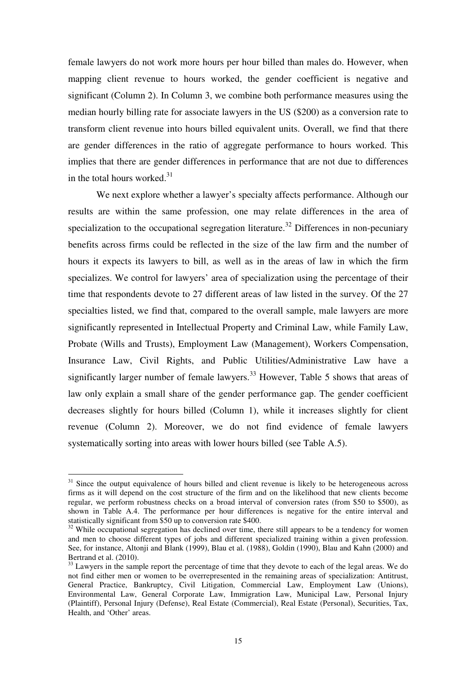female lawyers do not work more hours per hour billed than males do. However, when mapping client revenue to hours worked, the gender coefficient is negative and significant (Column 2). In Column 3, we combine both performance measures using the median hourly billing rate for associate lawyers in the US (\$200) as a conversion rate to transform client revenue into hours billed equivalent units. Overall, we find that there are gender differences in the ratio of aggregate performance to hours worked. This implies that there are gender differences in performance that are not due to differences in the total hours worked. $31$ 

We next explore whether a lawyer's specialty affects performance. Although our results are within the same profession, one may relate differences in the area of specialization to the occupational segregation literature.<sup>32</sup> Differences in non-pecuniary benefits across firms could be reflected in the size of the law firm and the number of hours it expects its lawyers to bill, as well as in the areas of law in which the firm specializes. We control for lawyers' area of specialization using the percentage of their time that respondents devote to 27 different areas of law listed in the survey. Of the 27 specialties listed, we find that, compared to the overall sample, male lawyers are more significantly represented in Intellectual Property and Criminal Law, while Family Law, Probate (Wills and Trusts), Employment Law (Management), Workers Compensation, Insurance Law, Civil Rights, and Public Utilities/Administrative Law have a significantly larger number of female lawyers.<sup>33</sup> However, Table 5 shows that areas of law only explain a small share of the gender performance gap. The gender coefficient decreases slightly for hours billed (Column 1), while it increases slightly for client revenue (Column 2). Moreover, we do not find evidence of female lawyers systematically sorting into areas with lower hours billed (see Table A.5).

 $\overline{a}$ 

 $31$  Since the output equivalence of hours billed and client revenue is likely to be heterogeneous across firms as it will depend on the cost structure of the firm and on the likelihood that new clients become regular, we perform robustness checks on a broad interval of conversion rates (from \$50 to \$500), as shown in Table A.4. The performance per hour differences is negative for the entire interval and statistically significant from \$50 up to conversion rate \$400.

<sup>&</sup>lt;sup>32</sup> While occupational segregation has declined over time, there still appears to be a tendency for women and men to choose different types of jobs and different specialized training within a given profession. See, for instance, Altonji and Blank (1999), Blau et al. (1988), Goldin (1990), Blau and Kahn (2000) and Bertrand et al. (2010).

 $\frac{33}{33}$  Lawyers in the sample report the percentage of time that they devote to each of the legal areas. We do not find either men or women to be overrepresented in the remaining areas of specialization: Antitrust, General Practice, Bankruptcy, Civil Litigation, Commercial Law, Employment Law (Unions), Environmental Law, General Corporate Law, Immigration Law, Municipal Law, Personal Injury (Plaintiff), Personal Injury (Defense), Real Estate (Commercial), Real Estate (Personal), Securities, Tax, Health, and 'Other' areas.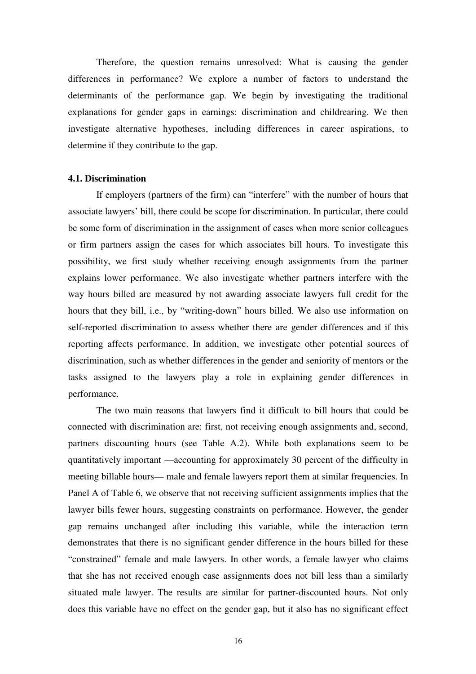Therefore, the question remains unresolved: What is causing the gender differences in performance? We explore a number of factors to understand the determinants of the performance gap. We begin by investigating the traditional explanations for gender gaps in earnings: discrimination and childrearing. We then investigate alternative hypotheses, including differences in career aspirations, to determine if they contribute to the gap.

#### **4.1. Discrimination**

If employers (partners of the firm) can "interfere" with the number of hours that associate lawyers' bill, there could be scope for discrimination. In particular, there could be some form of discrimination in the assignment of cases when more senior colleagues or firm partners assign the cases for which associates bill hours. To investigate this possibility, we first study whether receiving enough assignments from the partner explains lower performance. We also investigate whether partners interfere with the way hours billed are measured by not awarding associate lawyers full credit for the hours that they bill, i.e., by "writing-down" hours billed. We also use information on self-reported discrimination to assess whether there are gender differences and if this reporting affects performance. In addition, we investigate other potential sources of discrimination, such as whether differences in the gender and seniority of mentors or the tasks assigned to the lawyers play a role in explaining gender differences in performance.

The two main reasons that lawyers find it difficult to bill hours that could be connected with discrimination are: first, not receiving enough assignments and, second, partners discounting hours (see Table A.2). While both explanations seem to be quantitatively important —accounting for approximately 30 percent of the difficulty in meeting billable hours— male and female lawyers report them at similar frequencies. In Panel A of Table 6, we observe that not receiving sufficient assignments implies that the lawyer bills fewer hours, suggesting constraints on performance. However, the gender gap remains unchanged after including this variable, while the interaction term demonstrates that there is no significant gender difference in the hours billed for these "constrained" female and male lawyers. In other words, a female lawyer who claims that she has not received enough case assignments does not bill less than a similarly situated male lawyer. The results are similar for partner-discounted hours. Not only does this variable have no effect on the gender gap, but it also has no significant effect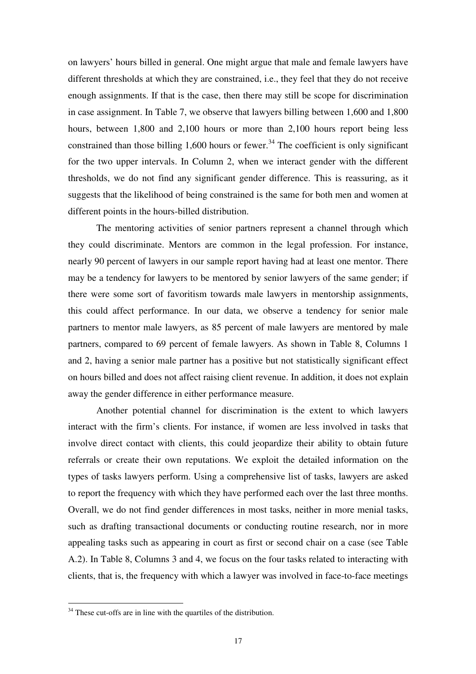on lawyers' hours billed in general. One might argue that male and female lawyers have different thresholds at which they are constrained, i.e., they feel that they do not receive enough assignments. If that is the case, then there may still be scope for discrimination in case assignment. In Table 7, we observe that lawyers billing between 1,600 and 1,800 hours, between 1,800 and 2,100 hours or more than 2,100 hours report being less constrained than those billing  $1,600$  hours or fewer.<sup>34</sup> The coefficient is only significant for the two upper intervals. In Column 2, when we interact gender with the different thresholds, we do not find any significant gender difference. This is reassuring, as it suggests that the likelihood of being constrained is the same for both men and women at different points in the hours-billed distribution.

The mentoring activities of senior partners represent a channel through which they could discriminate. Mentors are common in the legal profession. For instance, nearly 90 percent of lawyers in our sample report having had at least one mentor. There may be a tendency for lawyers to be mentored by senior lawyers of the same gender; if there were some sort of favoritism towards male lawyers in mentorship assignments, this could affect performance. In our data, we observe a tendency for senior male partners to mentor male lawyers, as 85 percent of male lawyers are mentored by male partners, compared to 69 percent of female lawyers. As shown in Table 8, Columns 1 and 2, having a senior male partner has a positive but not statistically significant effect on hours billed and does not affect raising client revenue. In addition, it does not explain away the gender difference in either performance measure.

Another potential channel for discrimination is the extent to which lawyers interact with the firm's clients. For instance, if women are less involved in tasks that involve direct contact with clients, this could jeopardize their ability to obtain future referrals or create their own reputations. We exploit the detailed information on the types of tasks lawyers perform. Using a comprehensive list of tasks, lawyers are asked to report the frequency with which they have performed each over the last three months. Overall, we do not find gender differences in most tasks, neither in more menial tasks, such as drafting transactional documents or conducting routine research, nor in more appealing tasks such as appearing in court as first or second chair on a case (see Table A.2). In Table 8, Columns 3 and 4, we focus on the four tasks related to interacting with clients, that is, the frequency with which a lawyer was involved in face-to-face meetings

 $\overline{a}$ 

 $34$  These cut-offs are in line with the quartiles of the distribution.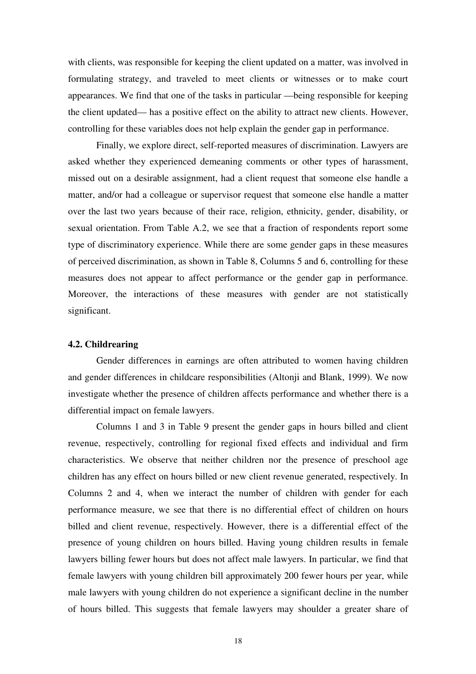with clients, was responsible for keeping the client updated on a matter, was involved in formulating strategy, and traveled to meet clients or witnesses or to make court appearances. We find that one of the tasks in particular —being responsible for keeping the client updated— has a positive effect on the ability to attract new clients. However, controlling for these variables does not help explain the gender gap in performance.

Finally, we explore direct, self-reported measures of discrimination. Lawyers are asked whether they experienced demeaning comments or other types of harassment, missed out on a desirable assignment, had a client request that someone else handle a matter, and/or had a colleague or supervisor request that someone else handle a matter over the last two years because of their race, religion, ethnicity, gender, disability, or sexual orientation. From Table A.2, we see that a fraction of respondents report some type of discriminatory experience. While there are some gender gaps in these measures of perceived discrimination, as shown in Table 8, Columns 5 and 6, controlling for these measures does not appear to affect performance or the gender gap in performance. Moreover, the interactions of these measures with gender are not statistically significant.

#### **4.2. Childrearing**

Gender differences in earnings are often attributed to women having children and gender differences in childcare responsibilities (Altonji and Blank, 1999). We now investigate whether the presence of children affects performance and whether there is a differential impact on female lawyers.

Columns 1 and 3 in Table 9 present the gender gaps in hours billed and client revenue, respectively, controlling for regional fixed effects and individual and firm characteristics. We observe that neither children nor the presence of preschool age children has any effect on hours billed or new client revenue generated, respectively. In Columns 2 and 4, when we interact the number of children with gender for each performance measure, we see that there is no differential effect of children on hours billed and client revenue, respectively. However, there is a differential effect of the presence of young children on hours billed. Having young children results in female lawyers billing fewer hours but does not affect male lawyers. In particular, we find that female lawyers with young children bill approximately 200 fewer hours per year, while male lawyers with young children do not experience a significant decline in the number of hours billed. This suggests that female lawyers may shoulder a greater share of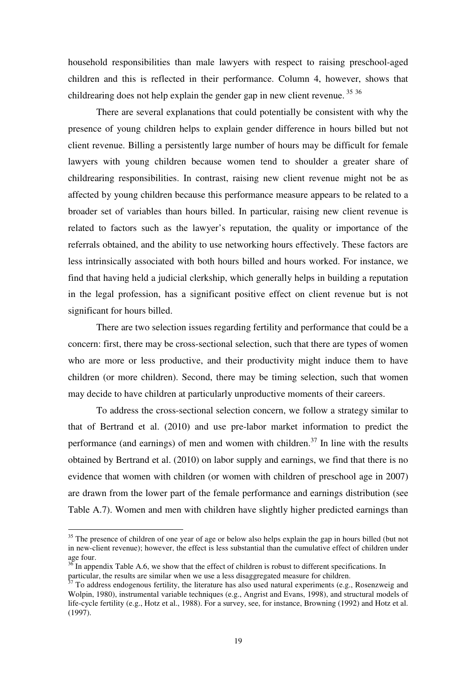household responsibilities than male lawyers with respect to raising preschool-aged children and this is reflected in their performance. Column 4, however, shows that childrearing does not help explain the gender gap in new client revenue.<sup>35</sup> 36

There are several explanations that could potentially be consistent with why the presence of young children helps to explain gender difference in hours billed but not client revenue. Billing a persistently large number of hours may be difficult for female lawyers with young children because women tend to shoulder a greater share of childrearing responsibilities. In contrast, raising new client revenue might not be as affected by young children because this performance measure appears to be related to a broader set of variables than hours billed. In particular, raising new client revenue is related to factors such as the lawyer's reputation, the quality or importance of the referrals obtained, and the ability to use networking hours effectively. These factors are less intrinsically associated with both hours billed and hours worked. For instance, we find that having held a judicial clerkship, which generally helps in building a reputation in the legal profession, has a significant positive effect on client revenue but is not significant for hours billed.

There are two selection issues regarding fertility and performance that could be a concern: first, there may be cross-sectional selection, such that there are types of women who are more or less productive, and their productivity might induce them to have children (or more children). Second, there may be timing selection, such that women may decide to have children at particularly unproductive moments of their careers.

To address the cross-sectional selection concern, we follow a strategy similar to that of Bertrand et al. (2010) and use pre-labor market information to predict the performance (and earnings) of men and women with children.<sup>37</sup> In line with the results obtained by Bertrand et al. (2010) on labor supply and earnings, we find that there is no evidence that women with children (or women with children of preschool age in 2007) are drawn from the lower part of the female performance and earnings distribution (see Table A.7). Women and men with children have slightly higher predicted earnings than

 $\overline{a}$ 

<sup>&</sup>lt;sup>35</sup> The presence of children of one year of age or below also helps explain the gap in hours billed (but not in new-client revenue); however, the effect is less substantial than the cumulative effect of children under age four.

 $\frac{36}{36}$  In appendix Table A.6, we show that the effect of children is robust to different specifications. In particular, the results are similar when we use a less disaggregated measure for children.

<sup>&</sup>lt;sup>7</sup> To address endogenous fertility, the literature has also used natural experiments (e.g., Rosenzweig and Wolpin, 1980), instrumental variable techniques (e.g., Angrist and Evans, 1998), and structural models of life-cycle fertility (e.g., Hotz et al., 1988). For a survey, see, for instance, Browning (1992) and Hotz et al. (1997).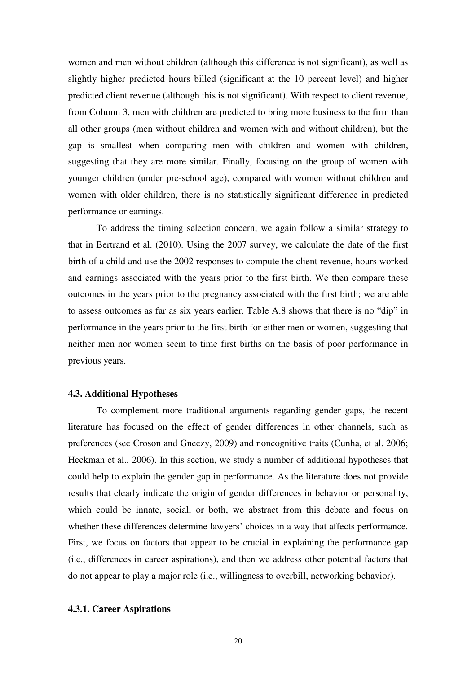women and men without children (although this difference is not significant), as well as slightly higher predicted hours billed (significant at the 10 percent level) and higher predicted client revenue (although this is not significant). With respect to client revenue, from Column 3, men with children are predicted to bring more business to the firm than all other groups (men without children and women with and without children), but the gap is smallest when comparing men with children and women with children, suggesting that they are more similar. Finally, focusing on the group of women with younger children (under pre-school age), compared with women without children and women with older children, there is no statistically significant difference in predicted performance or earnings.

To address the timing selection concern, we again follow a similar strategy to that in Bertrand et al. (2010). Using the 2007 survey, we calculate the date of the first birth of a child and use the 2002 responses to compute the client revenue, hours worked and earnings associated with the years prior to the first birth. We then compare these outcomes in the years prior to the pregnancy associated with the first birth; we are able to assess outcomes as far as six years earlier. Table A.8 shows that there is no "dip" in performance in the years prior to the first birth for either men or women, suggesting that neither men nor women seem to time first births on the basis of poor performance in previous years.

#### **4.3. Additional Hypotheses**

To complement more traditional arguments regarding gender gaps, the recent literature has focused on the effect of gender differences in other channels, such as preferences (see Croson and Gneezy, 2009) and noncognitive traits (Cunha, et al. 2006; Heckman et al., 2006). In this section, we study a number of additional hypotheses that could help to explain the gender gap in performance. As the literature does not provide results that clearly indicate the origin of gender differences in behavior or personality, which could be innate, social, or both, we abstract from this debate and focus on whether these differences determine lawyers' choices in a way that affects performance. First, we focus on factors that appear to be crucial in explaining the performance gap (i.e., differences in career aspirations), and then we address other potential factors that do not appear to play a major role (i.e., willingness to overbill, networking behavior).

#### **4.3.1. Career Aspirations**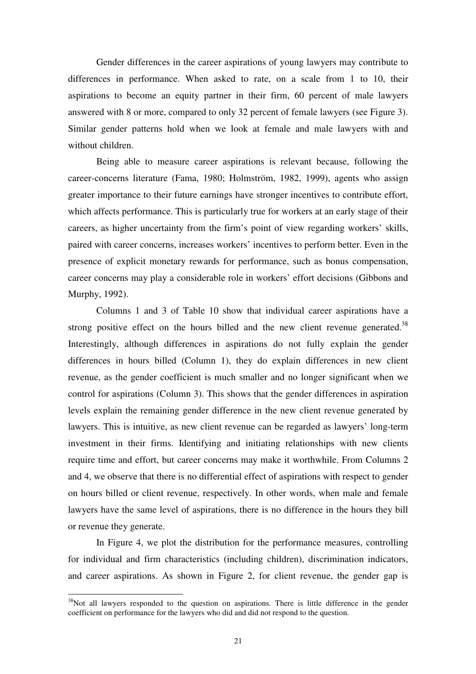Gender differences in the career aspirations of young lawyers may contribute to differences in performance. When asked to rate, on a scale from 1 to 10, their aspirations to become an equity partner in their firm, 60 percent of male lawyers answered with 8 or more, compared to only 32 percent of female lawyers (see Figure 3). Similar gender patterns hold when we look at female and male lawyers with and without children.

Being able to measure career aspirations is relevant because, following the career-concerns literature (Fama, 1980; Holmström, 1982, 1999), agents who assign greater importance to their future earnings have stronger incentives to contribute effort, which affects performance. This is particularly true for workers at an early stage of their careers, as higher uncertainty from the firm's point of view regarding workers' skills, paired with career concerns, increases workers' incentives to perform better. Even in the presence of explicit monetary rewards for performance, such as bonus compensation, career concerns may play a considerable role in workers' effort decisions (Gibbons and Murphy, 1992).

Columns 1 and 3 of Table 10 show that individual career aspirations have a strong positive effect on the hours billed and the new client revenue generated.<sup>38</sup> Interestingly, although differences in aspirations do not fully explain the gender differences in hours billed (Column 1), they do explain differences in new client revenue, as the gender coefficient is much smaller and no longer significant when we control for aspirations (Column 3). This shows that the gender differences in aspiration levels explain the remaining gender difference in the new client revenue generated by lawyers. This is intuitive, as new client revenue can be regarded as lawyers' long-term investment in their firms. Identifying and initiating relationships with new clients require time and effort, but career concerns may make it worthwhile. From Columns 2 and 4, we observe that there is no differential effect of aspirations with respect to gender on hours billed or client revenue, respectively. In other words, when male and female lawyers have the same level of aspirations, there is no difference in the hours they bill or revenue they generate.

In Figure 4, we plot the distribution for the performance measures, controlling for individual and firm characteristics (including children), discrimination indicators, and career aspirations. As shown in Figure 2, for client revenue, the gender gap is

 $\overline{a}$ 

<sup>&</sup>lt;sup>38</sup>Not all lawyers responded to the question on aspirations. There is little difference in the gender coefficient on performance for the lawyers who did and did not respond to the question.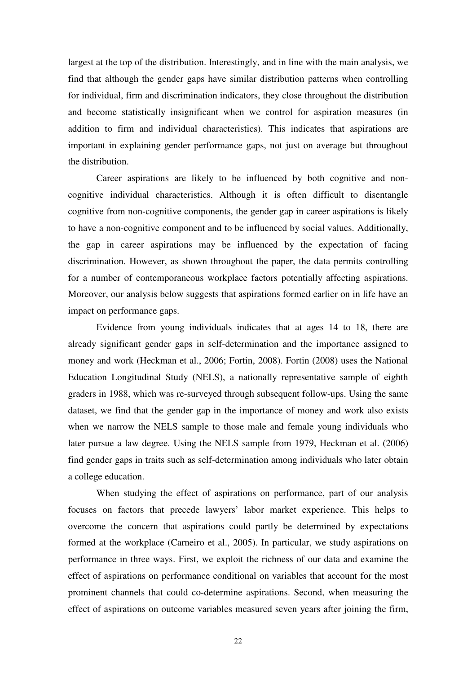largest at the top of the distribution. Interestingly, and in line with the main analysis, we find that although the gender gaps have similar distribution patterns when controlling for individual, firm and discrimination indicators, they close throughout the distribution and become statistically insignificant when we control for aspiration measures (in addition to firm and individual characteristics). This indicates that aspirations are important in explaining gender performance gaps, not just on average but throughout the distribution.

Career aspirations are likely to be influenced by both cognitive and noncognitive individual characteristics. Although it is often difficult to disentangle cognitive from non-cognitive components, the gender gap in career aspirations is likely to have a non-cognitive component and to be influenced by social values. Additionally, the gap in career aspirations may be influenced by the expectation of facing discrimination. However, as shown throughout the paper, the data permits controlling for a number of contemporaneous workplace factors potentially affecting aspirations. Moreover, our analysis below suggests that aspirations formed earlier on in life have an impact on performance gaps.

Evidence from young individuals indicates that at ages 14 to 18, there are already significant gender gaps in self-determination and the importance assigned to money and work (Heckman et al., 2006; Fortin, 2008). Fortin (2008) uses the National Education Longitudinal Study (NELS), a nationally representative sample of eighth graders in 1988, which was re-surveyed through subsequent follow-ups. Using the same dataset, we find that the gender gap in the importance of money and work also exists when we narrow the NELS sample to those male and female young individuals who later pursue a law degree. Using the NELS sample from 1979, Heckman et al. (2006) find gender gaps in traits such as self-determination among individuals who later obtain a college education.

When studying the effect of aspirations on performance, part of our analysis focuses on factors that precede lawyers' labor market experience. This helps to overcome the concern that aspirations could partly be determined by expectations formed at the workplace (Carneiro et al., 2005). In particular, we study aspirations on performance in three ways. First, we exploit the richness of our data and examine the effect of aspirations on performance conditional on variables that account for the most prominent channels that could co-determine aspirations. Second, when measuring the effect of aspirations on outcome variables measured seven years after joining the firm,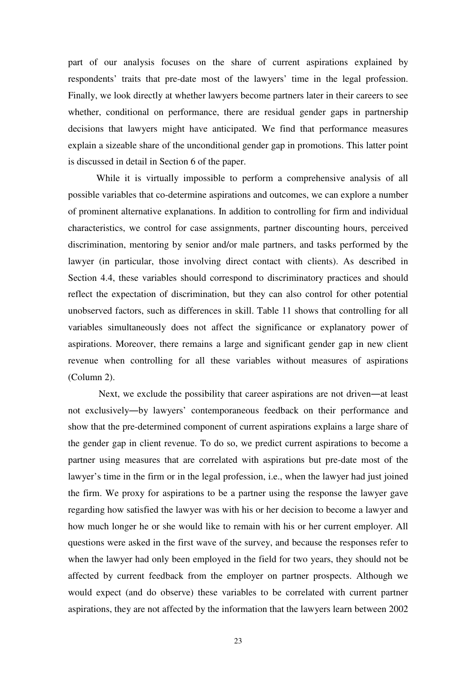part of our analysis focuses on the share of current aspirations explained by respondents' traits that pre-date most of the lawyers' time in the legal profession. Finally, we look directly at whether lawyers become partners later in their careers to see whether, conditional on performance, there are residual gender gaps in partnership decisions that lawyers might have anticipated. We find that performance measures explain a sizeable share of the unconditional gender gap in promotions. This latter point is discussed in detail in Section 6 of the paper.

While it is virtually impossible to perform a comprehensive analysis of all possible variables that co-determine aspirations and outcomes, we can explore a number of prominent alternative explanations. In addition to controlling for firm and individual characteristics, we control for case assignments, partner discounting hours, perceived discrimination, mentoring by senior and/or male partners, and tasks performed by the lawyer (in particular, those involving direct contact with clients). As described in Section 4.4, these variables should correspond to discriminatory practices and should reflect the expectation of discrimination, but they can also control for other potential unobserved factors, such as differences in skill. Table 11 shows that controlling for all variables simultaneously does not affect the significance or explanatory power of aspirations. Moreover, there remains a large and significant gender gap in new client revenue when controlling for all these variables without measures of aspirations (Column 2).

Next, we exclude the possibility that career aspirations are not driven—at least not exclusively―by lawyers' contemporaneous feedback on their performance and show that the pre-determined component of current aspirations explains a large share of the gender gap in client revenue. To do so, we predict current aspirations to become a partner using measures that are correlated with aspirations but pre-date most of the lawyer's time in the firm or in the legal profession, i.e., when the lawyer had just joined the firm. We proxy for aspirations to be a partner using the response the lawyer gave regarding how satisfied the lawyer was with his or her decision to become a lawyer and how much longer he or she would like to remain with his or her current employer. All questions were asked in the first wave of the survey, and because the responses refer to when the lawyer had only been employed in the field for two years, they should not be affected by current feedback from the employer on partner prospects. Although we would expect (and do observe) these variables to be correlated with current partner aspirations, they are not affected by the information that the lawyers learn between 2002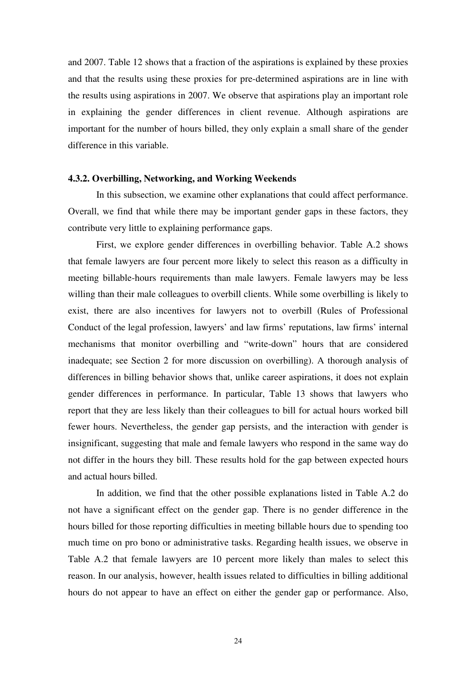and 2007. Table 12 shows that a fraction of the aspirations is explained by these proxies and that the results using these proxies for pre-determined aspirations are in line with the results using aspirations in 2007. We observe that aspirations play an important role in explaining the gender differences in client revenue. Although aspirations are important for the number of hours billed, they only explain a small share of the gender difference in this variable.

#### **4.3.2. Overbilling, Networking, and Working Weekends**

In this subsection, we examine other explanations that could affect performance. Overall, we find that while there may be important gender gaps in these factors, they contribute very little to explaining performance gaps.

First, we explore gender differences in overbilling behavior. Table A.2 shows that female lawyers are four percent more likely to select this reason as a difficulty in meeting billable-hours requirements than male lawyers. Female lawyers may be less willing than their male colleagues to overbill clients. While some overbilling is likely to exist, there are also incentives for lawyers not to overbill (Rules of Professional Conduct of the legal profession, lawyers' and law firms' reputations, law firms' internal mechanisms that monitor overbilling and "write-down" hours that are considered inadequate; see Section 2 for more discussion on overbilling). A thorough analysis of differences in billing behavior shows that, unlike career aspirations, it does not explain gender differences in performance. In particular, Table 13 shows that lawyers who report that they are less likely than their colleagues to bill for actual hours worked bill fewer hours. Nevertheless, the gender gap persists, and the interaction with gender is insignificant, suggesting that male and female lawyers who respond in the same way do not differ in the hours they bill. These results hold for the gap between expected hours and actual hours billed.

In addition, we find that the other possible explanations listed in Table A.2 do not have a significant effect on the gender gap. There is no gender difference in the hours billed for those reporting difficulties in meeting billable hours due to spending too much time on pro bono or administrative tasks. Regarding health issues, we observe in Table A.2 that female lawyers are 10 percent more likely than males to select this reason. In our analysis, however, health issues related to difficulties in billing additional hours do not appear to have an effect on either the gender gap or performance. Also,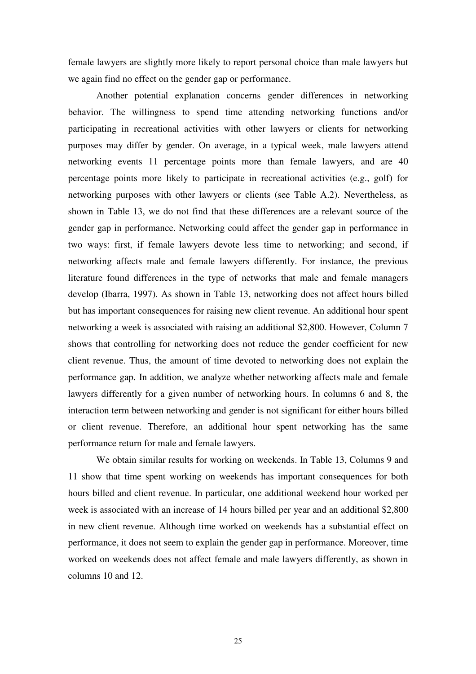female lawyers are slightly more likely to report personal choice than male lawyers but we again find no effect on the gender gap or performance.

Another potential explanation concerns gender differences in networking behavior. The willingness to spend time attending networking functions and/or participating in recreational activities with other lawyers or clients for networking purposes may differ by gender. On average, in a typical week, male lawyers attend networking events 11 percentage points more than female lawyers, and are 40 percentage points more likely to participate in recreational activities (e.g., golf) for networking purposes with other lawyers or clients (see Table A.2). Nevertheless, as shown in Table 13, we do not find that these differences are a relevant source of the gender gap in performance. Networking could affect the gender gap in performance in two ways: first, if female lawyers devote less time to networking; and second, if networking affects male and female lawyers differently. For instance, the previous literature found differences in the type of networks that male and female managers develop (Ibarra, 1997). As shown in Table 13, networking does not affect hours billed but has important consequences for raising new client revenue. An additional hour spent networking a week is associated with raising an additional \$2,800. However, Column 7 shows that controlling for networking does not reduce the gender coefficient for new client revenue. Thus, the amount of time devoted to networking does not explain the performance gap. In addition, we analyze whether networking affects male and female lawyers differently for a given number of networking hours. In columns 6 and 8, the interaction term between networking and gender is not significant for either hours billed or client revenue. Therefore, an additional hour spent networking has the same performance return for male and female lawyers.

We obtain similar results for working on weekends. In Table 13, Columns 9 and 11 show that time spent working on weekends has important consequences for both hours billed and client revenue. In particular, one additional weekend hour worked per week is associated with an increase of 14 hours billed per year and an additional \$2,800 in new client revenue. Although time worked on weekends has a substantial effect on performance, it does not seem to explain the gender gap in performance. Moreover, time worked on weekends does not affect female and male lawyers differently, as shown in columns 10 and 12.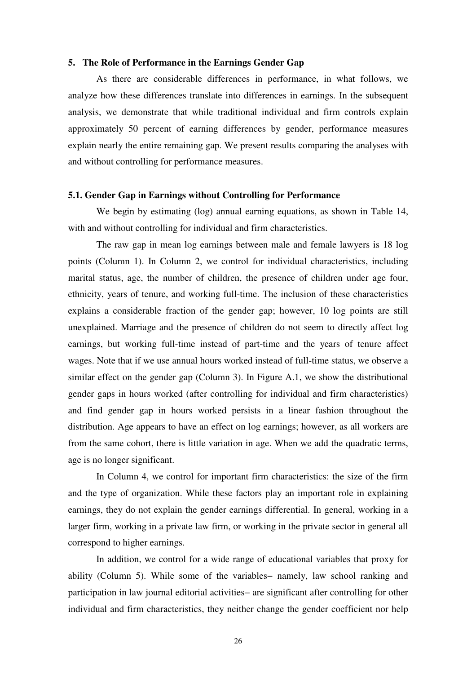#### **5. The Role of Performance in the Earnings Gender Gap**

As there are considerable differences in performance, in what follows, we analyze how these differences translate into differences in earnings. In the subsequent analysis, we demonstrate that while traditional individual and firm controls explain approximately 50 percent of earning differences by gender, performance measures explain nearly the entire remaining gap. We present results comparing the analyses with and without controlling for performance measures.

#### **5.1. Gender Gap in Earnings without Controlling for Performance**

We begin by estimating (log) annual earning equations, as shown in Table 14, with and without controlling for individual and firm characteristics.

The raw gap in mean log earnings between male and female lawyers is 18 log points (Column 1). In Column 2, we control for individual characteristics, including marital status, age, the number of children, the presence of children under age four, ethnicity, years of tenure, and working full-time. The inclusion of these characteristics explains a considerable fraction of the gender gap; however, 10 log points are still unexplained. Marriage and the presence of children do not seem to directly affect log earnings, but working full-time instead of part-time and the years of tenure affect wages. Note that if we use annual hours worked instead of full-time status, we observe a similar effect on the gender gap (Column 3). In Figure A.1, we show the distributional gender gaps in hours worked (after controlling for individual and firm characteristics) and find gender gap in hours worked persists in a linear fashion throughout the distribution. Age appears to have an effect on log earnings; however, as all workers are from the same cohort, there is little variation in age. When we add the quadratic terms, age is no longer significant.

In Column 4, we control for important firm characteristics: the size of the firm and the type of organization. While these factors play an important role in explaining earnings, they do not explain the gender earnings differential. In general, working in a larger firm, working in a private law firm, or working in the private sector in general all correspond to higher earnings.

In addition, we control for a wide range of educational variables that proxy for ability (Column 5). While some of the variables− namely, law school ranking and participation in law journal editorial activities− are significant after controlling for other individual and firm characteristics, they neither change the gender coefficient nor help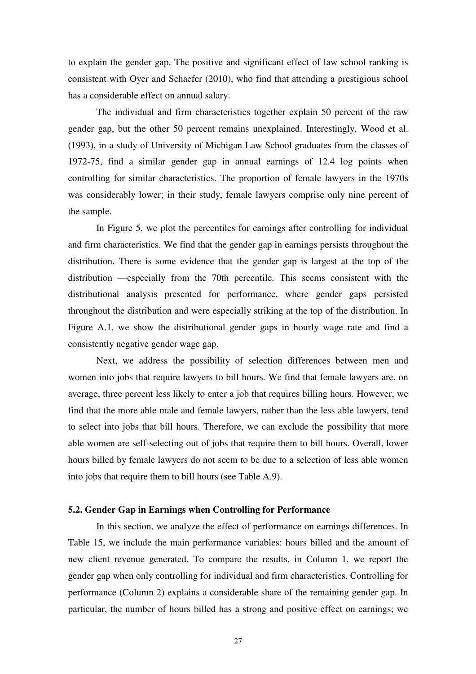to explain the gender gap. The positive and significant effect of law school ranking is consistent with Oyer and Schaefer (2010), who find that attending a prestigious school has a considerable effect on annual salary.

The individual and firm characteristics together explain 50 percent of the raw gender gap, but the other 50 percent remains unexplained. Interestingly, Wood et al. (1993), in a study of University of Michigan Law School graduates from the classes of 1972-75, find a similar gender gap in annual earnings of 12.4 log points when controlling for similar characteristics. The proportion of female lawyers in the 1970s was considerably lower; in their study, female lawyers comprise only nine percent of the sample.

In Figure 5, we plot the percentiles for earnings after controlling for individual and firm characteristics. We find that the gender gap in earnings persists throughout the distribution. There is some evidence that the gender gap is largest at the top of the distribution —especially from the 70th percentile. This seems consistent with the distributional analysis presented for performance, where gender gaps persisted throughout the distribution and were especially striking at the top of the distribution. In Figure A.1, we show the distributional gender gaps in hourly wage rate and find a consistently negative gender wage gap.

Next, we address the possibility of selection differences between men and women into jobs that require lawyers to bill hours. We find that female lawyers are, on average, three percent less likely to enter a job that requires billing hours. However, we find that the more able male and female lawyers, rather than the less able lawyers, tend to select into jobs that bill hours. Therefore, we can exclude the possibility that more able women are self-selecting out of jobs that require them to bill hours. Overall, lower hours billed by female lawyers do not seem to be due to a selection of less able women into jobs that require them to bill hours (see Table A.9).

#### **5.2. Gender Gap in Earnings when Controlling for Performance**

In this section, we analyze the effect of performance on earnings differences. In Table 15, we include the main performance variables: hours billed and the amount of new client revenue generated. To compare the results, in Column 1, we report the gender gap when only controlling for individual and firm characteristics. Controlling for performance (Column 2) explains a considerable share of the remaining gender gap. In particular, the number of hours billed has a strong and positive effect on earnings; we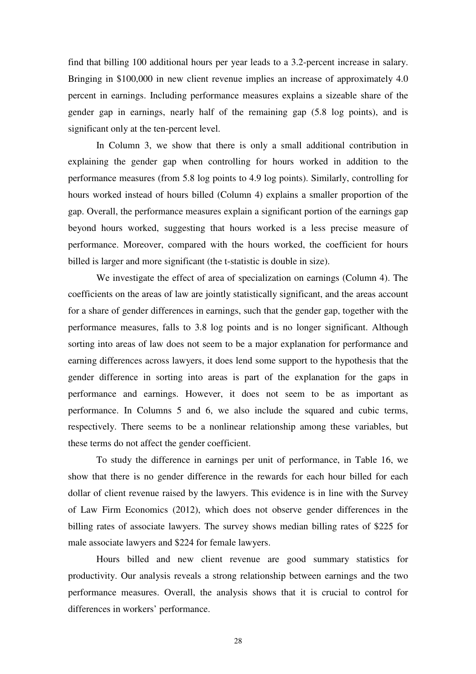find that billing 100 additional hours per year leads to a 3.2-percent increase in salary. Bringing in \$100,000 in new client revenue implies an increase of approximately 4.0 percent in earnings. Including performance measures explains a sizeable share of the gender gap in earnings, nearly half of the remaining gap (5.8 log points), and is significant only at the ten-percent level.

In Column 3, we show that there is only a small additional contribution in explaining the gender gap when controlling for hours worked in addition to the performance measures (from 5.8 log points to 4.9 log points). Similarly, controlling for hours worked instead of hours billed (Column 4) explains a smaller proportion of the gap. Overall, the performance measures explain a significant portion of the earnings gap beyond hours worked, suggesting that hours worked is a less precise measure of performance. Moreover, compared with the hours worked, the coefficient for hours billed is larger and more significant (the t-statistic is double in size).

We investigate the effect of area of specialization on earnings (Column 4). The coefficients on the areas of law are jointly statistically significant, and the areas account for a share of gender differences in earnings, such that the gender gap, together with the performance measures, falls to 3.8 log points and is no longer significant. Although sorting into areas of law does not seem to be a major explanation for performance and earning differences across lawyers, it does lend some support to the hypothesis that the gender difference in sorting into areas is part of the explanation for the gaps in performance and earnings. However, it does not seem to be as important as performance. In Columns 5 and 6, we also include the squared and cubic terms, respectively. There seems to be a nonlinear relationship among these variables, but these terms do not affect the gender coefficient.

To study the difference in earnings per unit of performance, in Table 16, we show that there is no gender difference in the rewards for each hour billed for each dollar of client revenue raised by the lawyers. This evidence is in line with the Survey of Law Firm Economics (2012), which does not observe gender differences in the billing rates of associate lawyers. The survey shows median billing rates of \$225 for male associate lawyers and \$224 for female lawyers.

Hours billed and new client revenue are good summary statistics for productivity. Our analysis reveals a strong relationship between earnings and the two performance measures. Overall, the analysis shows that it is crucial to control for differences in workers' performance.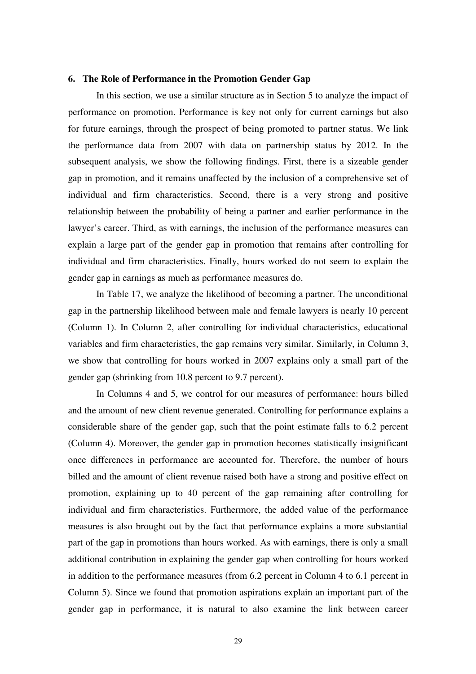#### **6. The Role of Performance in the Promotion Gender Gap**

In this section, we use a similar structure as in Section 5 to analyze the impact of performance on promotion. Performance is key not only for current earnings but also for future earnings, through the prospect of being promoted to partner status. We link the performance data from 2007 with data on partnership status by 2012. In the subsequent analysis, we show the following findings. First, there is a sizeable gender gap in promotion, and it remains unaffected by the inclusion of a comprehensive set of individual and firm characteristics. Second, there is a very strong and positive relationship between the probability of being a partner and earlier performance in the lawyer's career. Third, as with earnings, the inclusion of the performance measures can explain a large part of the gender gap in promotion that remains after controlling for individual and firm characteristics. Finally, hours worked do not seem to explain the gender gap in earnings as much as performance measures do.

In Table 17, we analyze the likelihood of becoming a partner. The unconditional gap in the partnership likelihood between male and female lawyers is nearly 10 percent (Column 1). In Column 2, after controlling for individual characteristics, educational variables and firm characteristics, the gap remains very similar. Similarly, in Column 3, we show that controlling for hours worked in 2007 explains only a small part of the gender gap (shrinking from 10.8 percent to 9.7 percent).

In Columns 4 and 5, we control for our measures of performance: hours billed and the amount of new client revenue generated. Controlling for performance explains a considerable share of the gender gap, such that the point estimate falls to 6.2 percent (Column 4). Moreover, the gender gap in promotion becomes statistically insignificant once differences in performance are accounted for. Therefore, the number of hours billed and the amount of client revenue raised both have a strong and positive effect on promotion, explaining up to 40 percent of the gap remaining after controlling for individual and firm characteristics. Furthermore, the added value of the performance measures is also brought out by the fact that performance explains a more substantial part of the gap in promotions than hours worked. As with earnings, there is only a small additional contribution in explaining the gender gap when controlling for hours worked in addition to the performance measures (from 6.2 percent in Column 4 to 6.1 percent in Column 5). Since we found that promotion aspirations explain an important part of the gender gap in performance, it is natural to also examine the link between career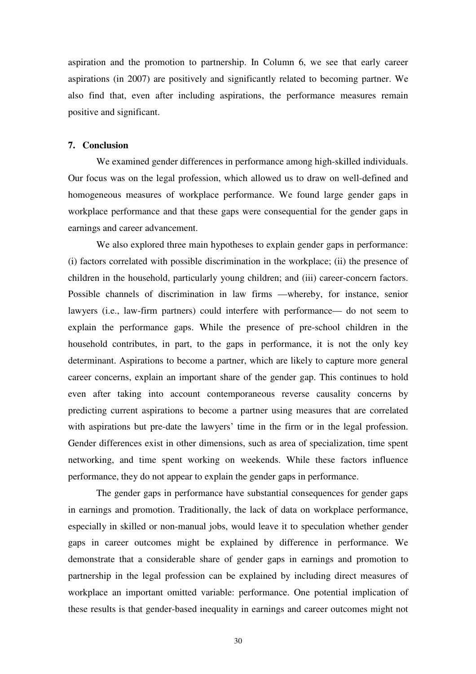aspiration and the promotion to partnership. In Column 6, we see that early career aspirations (in 2007) are positively and significantly related to becoming partner. We also find that, even after including aspirations, the performance measures remain positive and significant.

#### **7. Conclusion**

We examined gender differences in performance among high-skilled individuals. Our focus was on the legal profession, which allowed us to draw on well-defined and homogeneous measures of workplace performance. We found large gender gaps in workplace performance and that these gaps were consequential for the gender gaps in earnings and career advancement.

We also explored three main hypotheses to explain gender gaps in performance: (i) factors correlated with possible discrimination in the workplace; (ii) the presence of children in the household, particularly young children; and (iii) career-concern factors. Possible channels of discrimination in law firms —whereby, for instance, senior lawyers (i.e., law-firm partners) could interfere with performance— do not seem to explain the performance gaps. While the presence of pre-school children in the household contributes, in part, to the gaps in performance, it is not the only key determinant. Aspirations to become a partner, which are likely to capture more general career concerns, explain an important share of the gender gap. This continues to hold even after taking into account contemporaneous reverse causality concerns by predicting current aspirations to become a partner using measures that are correlated with aspirations but pre-date the lawyers' time in the firm or in the legal profession. Gender differences exist in other dimensions, such as area of specialization, time spent networking, and time spent working on weekends. While these factors influence performance, they do not appear to explain the gender gaps in performance.

The gender gaps in performance have substantial consequences for gender gaps in earnings and promotion. Traditionally, the lack of data on workplace performance, especially in skilled or non-manual jobs, would leave it to speculation whether gender gaps in career outcomes might be explained by difference in performance. We demonstrate that a considerable share of gender gaps in earnings and promotion to partnership in the legal profession can be explained by including direct measures of workplace an important omitted variable: performance. One potential implication of these results is that gender-based inequality in earnings and career outcomes might not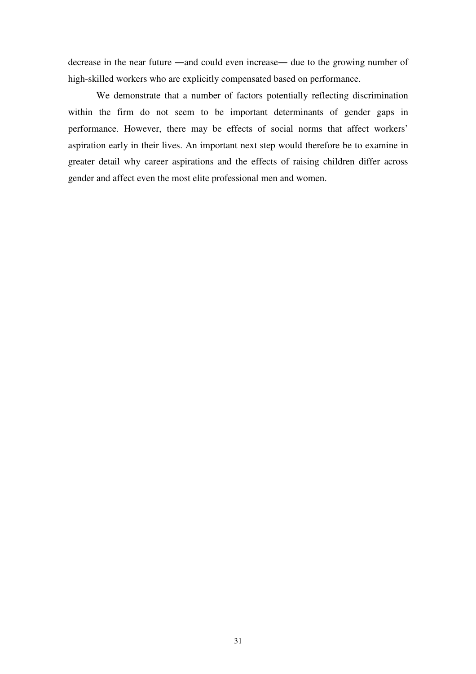decrease in the near future ―and could even increase― due to the growing number of high-skilled workers who are explicitly compensated based on performance.

We demonstrate that a number of factors potentially reflecting discrimination within the firm do not seem to be important determinants of gender gaps in performance. However, there may be effects of social norms that affect workers' aspiration early in their lives. An important next step would therefore be to examine in greater detail why career aspirations and the effects of raising children differ across gender and affect even the most elite professional men and women.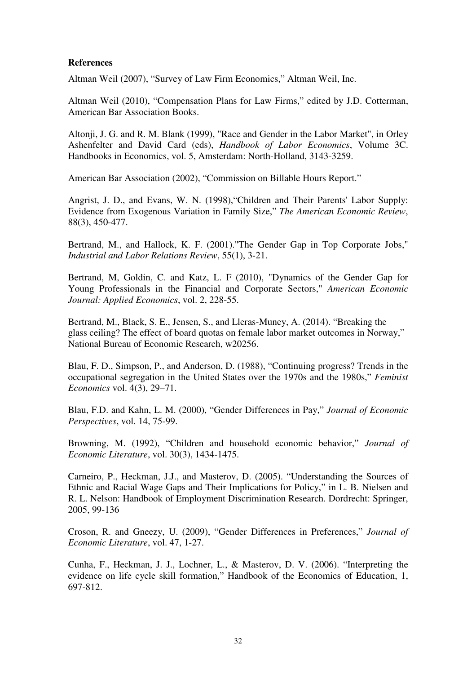### **References**

Altman Weil (2007), "Survey of Law Firm Economics," Altman Weil, Inc.

Altman Weil (2010), "Compensation Plans for Law Firms," edited by J.D. Cotterman, American Bar Association Books.

Altonji, J. G. and R. M. Blank (1999), "Race and Gender in the Labor Market", in Orley Ashenfelter and David Card (eds), *Handbook of Labor Economics*, Volume 3C. Handbooks in Economics, vol. 5, Amsterdam: North-Holland, 3143-3259.

American Bar Association (2002), "Commission on Billable Hours Report."

Angrist, J. D., and Evans, W. N. (1998),"Children and Their Parents' Labor Supply: Evidence from Exogenous Variation in Family Size," *The American Economic Review*, 88(3), 450-477.

Bertrand, M., and Hallock, K. F. (2001)."The Gender Gap in Top Corporate Jobs," *Industrial and Labor Relations Review*, 55(1), 3-21.

Bertrand, M, Goldin, C. and Katz, L. F (2010), "Dynamics of the Gender Gap for Young Professionals in the Financial and Corporate Sectors," *American Economic Journal: Applied Economics*, vol. 2, 228-55.

Bertrand, M., Black, S. E., Jensen, S., and Lleras-Muney, A. (2014). "Breaking the glass ceiling? The effect of board quotas on female labor market outcomes in Norway," National Bureau of Economic Research, w20256.

Blau, F. D., Simpson, P., and Anderson, D. (1988), "Continuing progress? Trends in the occupational segregation in the United States over the 1970s and the 1980s," *Feminist Economics* vol. 4(3), 29–71.

Blau, F.D. and Kahn, L. M. (2000), "Gender Differences in Pay," *Journal of Economic Perspectives*, vol. 14, 75-99.

Browning, M. (1992), "Children and household economic behavior," *Journal of Economic Literature*, vol. 30(3), 1434-1475.

Carneiro, P., Heckman, J.J., and Masterov, D. (2005). "Understanding the Sources of Ethnic and Racial Wage Gaps and Their Implications for Policy," in L. B. Nielsen and R. L. Nelson: Handbook of Employment Discrimination Research. Dordrecht: Springer, 2005, 99-136

Croson, R. and Gneezy, U. (2009), "Gender Differences in Preferences," *Journal of Economic Literature*, vol. 47, 1-27.

Cunha, F., Heckman, J. J., Lochner, L., & Masterov, D. V. (2006). "Interpreting the evidence on life cycle skill formation," Handbook of the Economics of Education, 1, 697-812.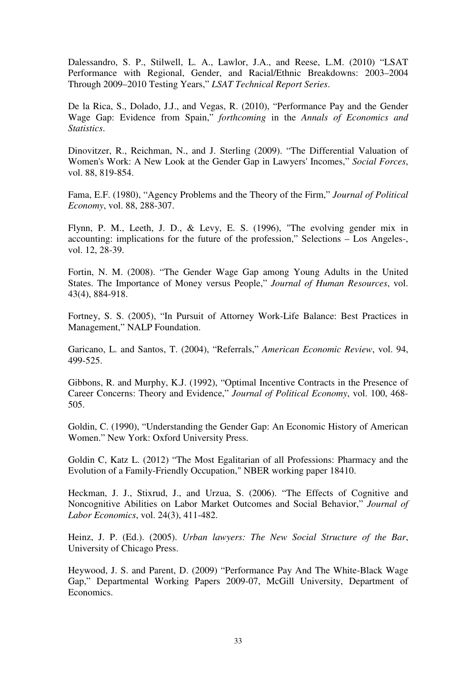Dalessandro, S. P., Stilwell, L. A., Lawlor, J.A., and Reese, L.M. (2010) "LSAT Performance with Regional, Gender, and Racial/Ethnic Breakdowns: 2003–2004 Through 2009–2010 Testing Years," *LSAT Technical Report Series*.

De la Rica, S., Dolado, J.J., and Vegas, R. (2010), "Performance Pay and the Gender Wage Gap: Evidence from Spain," *forthcoming* in the *Annals of Economics and Statistics*.

Dinovitzer, R., Reichman, N., and J. Sterling (2009). "The Differential Valuation of Women's Work: A New Look at the Gender Gap in Lawyers' Incomes," *Social Forces*, vol. 88, 819-854.

Fama, E.F. (1980), "Agency Problems and the Theory of the Firm," *Journal of Political Economy*, vol. 88, 288-307.

Flynn, P. M., Leeth, J. D., & Levy, E. S. (1996), "The evolving gender mix in accounting: implications for the future of the profession," Selections – Los Angeles-, vol. 12, 28-39.

Fortin, N. M. (2008). "The Gender Wage Gap among Young Adults in the United States. The Importance of Money versus People," *Journal of Human Resources*, vol. 43(4), 884-918.

Fortney, S. S. (2005), "In Pursuit of Attorney Work-Life Balance: Best Practices in Management," NALP Foundation.

Garicano, L. and Santos, T. (2004), "Referrals," *American Economic Review*, vol. 94, 499-525.

Gibbons, R. and Murphy, K.J. (1992), "Optimal Incentive Contracts in the Presence of Career Concerns: Theory and Evidence," *Journal of Political Economy*, vol. 100, 468- 505.

Goldin, C. (1990), "Understanding the Gender Gap: An Economic History of American Women." New York: Oxford University Press.

Goldin C, Katz L. (2012) "The Most Egalitarian of all Professions: Pharmacy and the Evolution of a Family-Friendly Occupation," NBER working paper 18410.

Heckman, J. J., Stixrud, J., and Urzua, S. (2006). "The Effects of Cognitive and Noncognitive Abilities on Labor Market Outcomes and Social Behavior," *Journal of Labor Economics*, vol. 24(3), 411-482.

Heinz, J. P. (Ed.). (2005). *Urban lawyers: The New Social Structure of the Bar*, University of Chicago Press.

Heywood, J. S. and Parent, D. (2009) "Performance Pay And The White-Black Wage Gap," Departmental Working Papers 2009-07, McGill University, Department of Economics.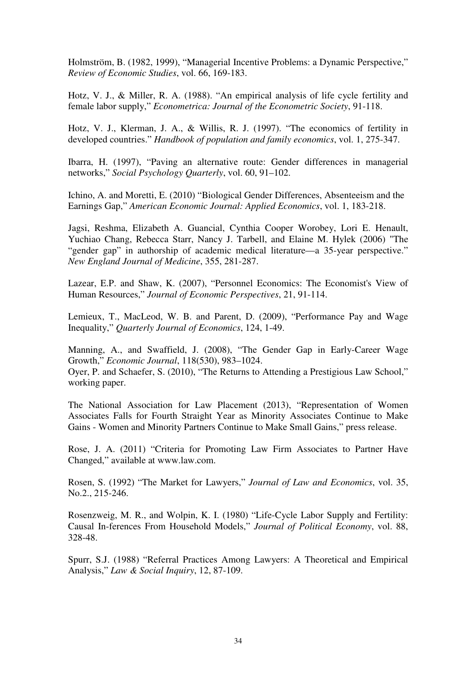Holmström, B. (1982, 1999), "Managerial Incentive Problems: a Dynamic Perspective," *Review of Economic Studies*, vol. 66, 169-183.

Hotz, V. J., & Miller, R. A. (1988). "An empirical analysis of life cycle fertility and female labor supply," *Econometrica: Journal of the Econometric Society*, 91-118.

Hotz, V. J., Klerman, J. A., & Willis, R. J. (1997). "The economics of fertility in developed countries." *Handbook of population and family economics*, vol. 1, 275-347.

Ibarra, H. (1997), "Paving an alternative route: Gender differences in managerial networks," *Social Psychology Quarterly*, vol. 60, 91–102.

Ichino, A. and Moretti, E. (2010) "Biological Gender Differences, Absenteeism and the Earnings Gap," *American Economic Journal: Applied Economics*, vol. 1, 183-218.

Jagsi, Reshma, Elizabeth A. Guancial, Cynthia Cooper Worobey, Lori E. Henault, Yuchiao Chang, Rebecca Starr, Nancy J. Tarbell, and Elaine M. Hylek (2006) "The "gender gap" in authorship of academic medical literature—a 35-year perspective." *New England Journal of Medicine*, 355, 281-287.

Lazear, E.P. and Shaw, K. (2007), "Personnel Economics: The Economist's View of Human Resources," *Journal of Economic Perspectives*, 21, 91-114.

Lemieux, T., MacLeod, W. B. and Parent, D. (2009), "Performance Pay and Wage Inequality," *Quarterly Journal of Economics*, 124, 1-49.

Manning, A., and Swaffield, J. (2008), "The Gender Gap in Early-Career Wage Growth," *Economic Journal*, 118(530), 983–1024.

Oyer, P. and Schaefer, S. (2010), "The Returns to Attending a Prestigious Law School," working paper.

The National Association for Law Placement (2013), "Representation of Women Associates Falls for Fourth Straight Year as Minority Associates Continue to Make Gains - Women and Minority Partners Continue to Make Small Gains," press release.

Rose, J. A. (2011) "Criteria for Promoting Law Firm Associates to Partner Have Changed," available at www.law.com.

Rosen, S. (1992) "The Market for Lawyers," *Journal of Law and Economics*, vol. 35, No.2., 215-246.

Rosenzweig, M. R., and Wolpin, K. I. (1980) "Life-Cycle Labor Supply and Fertility: Causal In-ferences From Household Models," *Journal of Political Economy*, vol. 88, 328-48.

Spurr, S.J. (1988) "Referral Practices Among Lawyers: A Theoretical and Empirical Analysis," *Law & Social Inquiry*, 12, 87-109.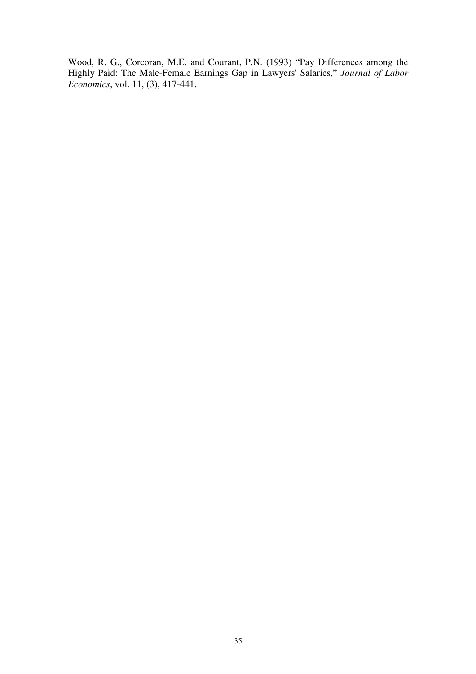Wood, R. G., Corcoran, M.E. and Courant, P.N. (1993) "Pay Differences among the Highly Paid: The Male-Female Earnings Gap in Lawyers' Salaries," *Journal of Labor Economics*, vol. 11, (3), 417-441.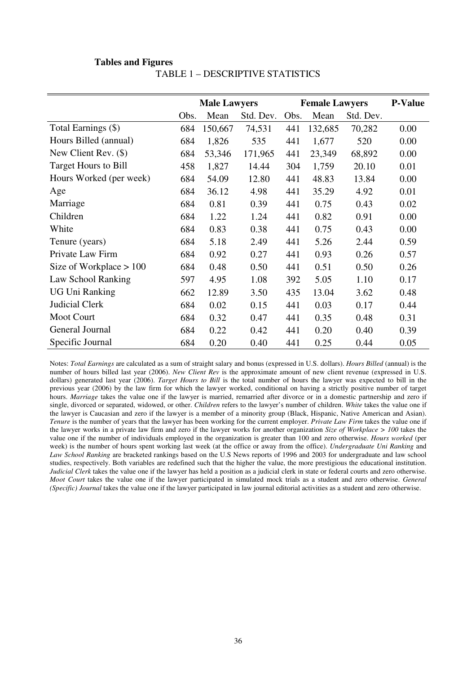|                           | <b>Male Lawyers</b> |         |           | <b>Female Lawyers</b> | <b>P-Value</b> |           |      |
|---------------------------|---------------------|---------|-----------|-----------------------|----------------|-----------|------|
|                           | Obs.                | Mean    | Std. Dev. | Obs.                  | Mean           | Std. Dev. |      |
| Total Earnings (\$)       | 684                 | 150,667 | 74,531    | 441                   | 132,685        | 70,282    | 0.00 |
| Hours Billed (annual)     | 684                 | 1,826   | 535       | 441                   | 1,677          | 520       | 0.00 |
| New Client Rev. $(\$)$    | 684                 | 53,346  | 171,965   | 441                   | 23,349         | 68,892    | 0.00 |
| Target Hours to Bill      | 458                 | 1,827   | 14.44     | 304                   | 1,759          | 20.10     | 0.01 |
| Hours Worked (per week)   | 684                 | 54.09   | 12.80     | 441                   | 48.83          | 13.84     | 0.00 |
| Age                       | 684                 | 36.12   | 4.98      | 441                   | 35.29          | 4.92      | 0.01 |
| Marriage                  | 684                 | 0.81    | 0.39      | 441                   | 0.75           | 0.43      | 0.02 |
| Children                  | 684                 | 1.22    | 1.24      | 441                   | 0.82           | 0.91      | 0.00 |
| White                     | 684                 | 0.83    | 0.38      | 441                   | 0.75           | 0.43      | 0.00 |
| Tenure (years)            | 684                 | 5.18    | 2.49      | 441                   | 5.26           | 2.44      | 0.59 |
| Private Law Firm          | 684                 | 0.92    | 0.27      | 441                   | 0.93           | 0.26      | 0.57 |
| Size of Workplace $> 100$ | 684                 | 0.48    | 0.50      | 441                   | 0.51           | 0.50      | 0.26 |
| Law School Ranking        | 597                 | 4.95    | 1.08      | 392                   | 5.05           | 1.10      | 0.17 |
| <b>UG Uni Ranking</b>     | 662                 | 12.89   | 3.50      | 435                   | 13.04          | 3.62      | 0.48 |
| <b>Judicial Clerk</b>     | 684                 | 0.02    | 0.15      | 441                   | 0.03           | 0.17      | 0.44 |
| <b>Moot Court</b>         | 684                 | 0.32    | 0.47      | 441                   | 0.35           | 0.48      | 0.31 |
| General Journal           | 684                 | 0.22    | 0.42      | 441                   | 0.20           | 0.40      | 0.39 |
| Specific Journal          | 684                 | 0.20    | 0.40      | 441                   | 0.25           | 0.44      | 0.05 |

#### **Tables and Figures** TABLE 1 – DESCRIPTIVE STATISTICS

Notes: *Total Earnings* are calculated as a sum of straight salary and bonus (expressed in U.S. dollars). *Hours Billed* (annual) is the number of hours billed last year (2006). *New Client Rev* is the approximate amount of new client revenue (expressed in U.S. dollars) generated last year (2006). *Target Hours to Bill* is the total number of hours the lawyer was expected to bill in the previous year (2006) by the law firm for which the lawyer worked, conditional on having a strictly positive number of target hours. *Marriage* takes the value one if the lawyer is married, remarried after divorce or in a domestic partnership and zero if single, divorced or separated, widowed, or other. *Children* refers to the lawyer's number of children. *White* takes the value one if the lawyer is Caucasian and zero if the lawyer is a member of a minority group (Black, Hispanic, Native American and Asian). *Tenure* is the number of years that the lawyer has been working for the current employer. *Private Law Firm* takes the value one if the lawyer works in a private law firm and zero if the lawyer works for another organization *Size of Workplace > 100* takes the value one if the number of individuals employed in the organization is greater than 100 and zero otherwise. *Hours worked* (per week) is the number of hours spent working last week (at the office or away from the office). *Undergraduate Uni Ranking* and *Law School Ranking* are bracketed rankings based on the U.S News reports of 1996 and 2003 for undergraduate and law school studies, respectively. Both variables are redefined such that the higher the value, the more prestigious the educational institution. *Judicial Clerk* takes the value one if the lawyer has held a position as a judicial clerk in state or federal courts and zero otherwise. *Moot Court* takes the value one if the lawyer participated in simulated mock trials as a student and zero otherwise. *General (Specific) Journal* takes the value one if the lawyer participated in law journal editorial activities as a student and zero otherwise.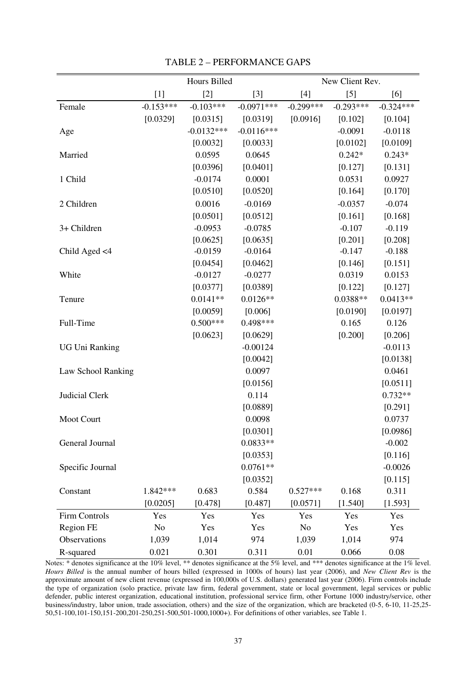|                       |             | Hours Billed |              | New Client Rev. |             |             |
|-----------------------|-------------|--------------|--------------|-----------------|-------------|-------------|
|                       | $[1]$       | $[2]$        | $[3]$        | $[4]$           | $[5]$       | [6]         |
| Female                | $-0.153***$ | $-0.103***$  | $-0.0971***$ | $-0.299***$     | $-0.293***$ | $-0.324***$ |
|                       | [0.0329]    | [0.0315]     | [0.0319]     | [0.0916]        | [0.102]     | [0.104]     |
| Age                   |             | $-0.0132***$ | $-0.0116***$ |                 | $-0.0091$   | $-0.0118$   |
|                       |             | [0.0032]     | [0.0033]     |                 | [0.0102]    | [0.0109]    |
| Married               |             | 0.0595       | 0.0645       |                 | $0.242*$    | $0.243*$    |
|                       |             | [0.0396]     | [0.0401]     |                 | [0.127]     | [0.131]     |
| 1 Child               |             | $-0.0174$    | 0.0001       |                 | 0.0531      | 0.0927      |
|                       |             | [0.0510]     | [0.0520]     |                 | [0.164]     | [0.170]     |
| 2 Children            |             | 0.0016       | $-0.0169$    |                 | $-0.0357$   | $-0.074$    |
|                       |             | [0.0501]     | [0.0512]     |                 | [0.161]     | [0.168]     |
| 3+ Children           |             | $-0.0953$    | $-0.0785$    |                 | $-0.107$    | $-0.119$    |
|                       |             | [0.0625]     | [0.0635]     |                 | [0.201]     | [0.208]     |
| Child Aged <4         |             | $-0.0159$    | $-0.0164$    |                 | $-0.147$    | $-0.188$    |
|                       |             | [0.0454]     | [0.0462]     |                 | [0.146]     | [0.151]     |
| White                 |             | $-0.0127$    | $-0.0277$    |                 | 0.0319      | 0.0153      |
|                       |             | [0.0377]     | [0.0389]     |                 | [0.122]     | [0.127]     |
| Tenure                |             | $0.0141**$   | $0.0126**$   |                 | $0.0388**$  | $0.0413**$  |
|                       |             | [0.0059]     | [0.006]      |                 | [0.0190]    | [0.0197]    |
| Full-Time             |             | $0.500***$   | 0.498***     |                 | 0.165       | 0.126       |
|                       |             | [0.0623]     | [0.0629]     |                 | [0.200]     | [0.206]     |
| <b>UG Uni Ranking</b> |             |              | $-0.00124$   |                 |             | $-0.0113$   |
|                       |             |              | [0.0042]     |                 |             | [0.0138]    |
| Law School Ranking    |             |              | 0.0097       |                 |             | 0.0461      |
|                       |             |              | [0.0156]     |                 |             | [0.0511]    |
| Judicial Clerk        |             |              | 0.114        |                 |             | $0.732**$   |
|                       |             |              | [0.0889]     |                 |             | [0.291]     |
| Moot Court            |             |              | 0.0098       |                 |             | 0.0737      |
|                       |             |              | [0.0301]     |                 |             | [0.0986]    |
| General Journal       |             |              | $0.0833**$   |                 |             | $-0.002$    |
|                       |             |              | [0.0353]     |                 |             | [0.116]     |
| Specific Journal      |             |              | $0.0761**$   |                 |             | $-0.0026$   |
|                       |             |              | [0.0352]     |                 |             | [0.115]     |
| Constant              | 1.842***    | 0.683        | 0.584        | $0.527***$      | 0.168       | 0.311       |
|                       | [0.0205]    | [0.478]      | [0.487]      | [0.0571]        | [1.540]     | [1.593]     |
| <b>Firm Controls</b>  | Yes         | Yes          | Yes          | Yes             | Yes         | Yes         |
| Region FE             | No          | Yes          | Yes          | No              | Yes         | Yes         |
| Observations          | 1,039       | 1,014        | 974          | 1,039           | 1,014       | 974         |
| R-squared             | 0.021       | 0.301        | 0.311        | 0.01            | 0.066       | 0.08        |

TABLE 2 – PERFORMANCE GAPS

Notes: \* denotes significance at the 10% level, \*\* denotes significance at the 5% level, and \*\*\* denotes significance at the 1% level. *Hours Billed* is the annual number of hours billed (expressed in 1000s of hours) last year (2006), and *New Client Rev* is the approximate amount of new client revenue (expressed in 100,000s of U.S. dollars) generated last year (2006). Firm controls include the type of organization (solo practice, private law firm, federal government, state or local government, legal services or public defender, public interest organization, educational institution, professional service firm, other Fortune 1000 industry/service, other business/industry, labor union, trade association, others) and the size of the organization, which are bracketed (0-5, 6-10, 11-25,25- 50,51-100,101-150,151-200,201-250,251-500,501-1000,1000+). For definitions of other variables, see Table 1.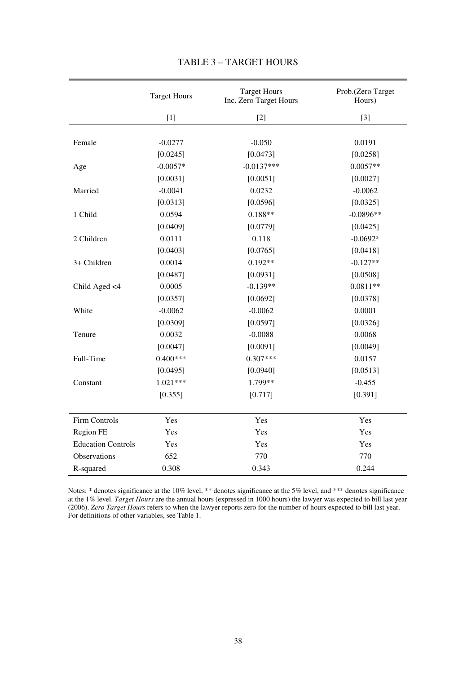|                           | <b>Target Hours</b> | <b>Target Hours</b><br>Inc. Zero Target Hours | Prob.(Zero Target<br>Hours) |
|---------------------------|---------------------|-----------------------------------------------|-----------------------------|
|                           | $[1]$               | $[2]$                                         | $[3]$                       |
|                           |                     |                                               |                             |
| Female                    | $-0.0277$           | $-0.050$                                      | 0.0191                      |
|                           | [0.0245]            | [0.0473]                                      | [0.0258]                    |
| Age                       | $-0.0057*$          | $-0.0137***$                                  | $0.0057**$                  |
|                           | [0.0031]            | [0.0051]                                      | [0.0027]                    |
| Married                   | $-0.0041$           | 0.0232                                        | $-0.0062$                   |
|                           | [0.0313]            | [0.0596]                                      | [0.0325]                    |
| 1 Child                   | 0.0594              | $0.188**$                                     | $-0.0896**$                 |
|                           | [0.0409]            | [0.0779]                                      | [0.0425]                    |
| 2 Children                | 0.0111              | 0.118                                         | $-0.0692*$                  |
|                           | [0.0403]            | [0.0765]                                      | [0.0418]                    |
| 3+ Children               | 0.0014              | $0.192**$                                     | $-0.127**$                  |
|                           | [0.0487]            | [0.0931]                                      | [0.0508]                    |
| Child Aged <4             | 0.0005              | $-0.139**$                                    | $0.0811**$                  |
|                           | [0.0357]            | [0.0692]                                      | [0.0378]                    |
| White                     | $-0.0062$           | $-0.0062$                                     | 0.0001                      |
|                           | [0.0309]            | [0.0597]                                      | [0.0326]                    |
| Tenure                    | 0.0032              | $-0.0088$                                     | 0.0068                      |
|                           | [0.0047]            | [0.0091]                                      | [0.0049]                    |
| Full-Time                 | $0.400***$          | $0.307***$                                    | 0.0157                      |
|                           | [0.0495]            | [0.0940]                                      | [0.0513]                    |
| Constant                  | 1.021***            | 1.799**                                       | $-0.455$                    |
|                           | [0.355]             | [0.717]                                       | [0.391]                     |
|                           |                     |                                               |                             |
| Firm Controls             | Yes                 | Yes                                           | Yes                         |
| Region FE                 | Yes                 | Yes                                           | Yes                         |
| <b>Education Controls</b> | Yes                 | Yes                                           | Yes                         |
| Observations              | 652                 | 770                                           | 770                         |
| R-squared                 | 0.308               | 0.343                                         | 0.244                       |

## TABLE 3 – TARGET HOURS

Notes: \* denotes significance at the 10% level, \*\* denotes significance at the 5% level, and \*\*\* denotes significance at the 1% level. *Target Hours* are the annual hours (expressed in 1000 hours) the lawyer was expected to bill last year (2006). *Zero Target Hours* refers to when the lawyer reports zero for the number of hours expected to bill last year. For definitions of other variables, see Table 1.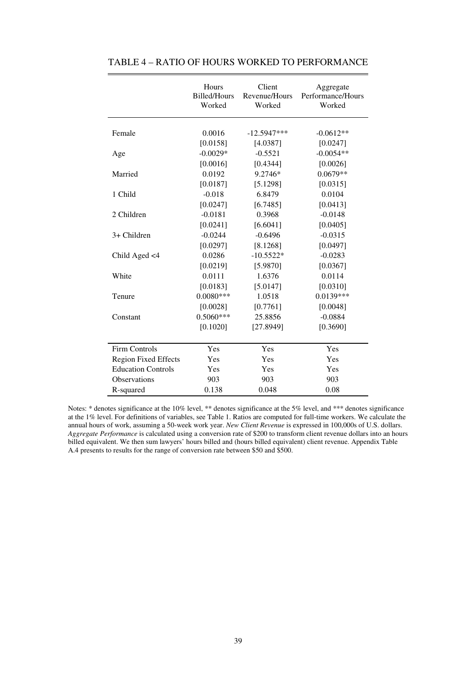|                             | Hours<br><b>Billed/Hours</b><br>Worked | Client<br>Revenue/Hours<br>Worked | Aggregate<br>Performance/Hours<br>Worked |
|-----------------------------|----------------------------------------|-----------------------------------|------------------------------------------|
| Female                      | 0.0016                                 | $-12.5947***$                     | $-0.0612**$                              |
|                             | [0.0158]                               | [4.0387]                          | [0.0247]                                 |
| Age                         | $-0.0029*$                             | $-0.5521$                         | $-0.0054**$                              |
|                             | [0.0016]                               | [0.4344]                          | [0.0026]                                 |
| Married                     | 0.0192                                 | 9.2746*                           | $0.0679**$                               |
|                             | [0.0187]                               | [5.1298]                          | [0.0315]                                 |
| 1 Child                     | $-0.018$                               | 6.8479                            | 0.0104                                   |
|                             | [0.0247]                               | [6.7485]                          | [0.0413]                                 |
| 2 Children                  | $-0.0181$                              | 0.3968                            | $-0.0148$                                |
|                             | [0.0241]                               | [6.6041]                          | [0.0405]                                 |
| 3+ Children                 | $-0.0244$                              | $-0.6496$                         | $-0.0315$                                |
|                             | [0.0297]                               | [8.1268]                          | [0.0497]                                 |
| Child Aged <4               | 0.0286                                 | $-10.5522*$                       | $-0.0283$                                |
|                             | [0.0219]                               | [5.9870]                          | [0.0367]                                 |
| White                       | 0.0111                                 | 1.6376                            | 0.0114                                   |
|                             | [0.0183]                               | [5.0147]                          | [0.0310]                                 |
| Tenure                      | $0.0080***$                            | 1.0518                            | $0.0139***$                              |
|                             | [0.0028]                               | [0.7761]                          | [0.0048]                                 |
| Constant                    | $0.5060***$                            | 25.8856                           | $-0.0884$                                |
|                             | [0.1020]                               | [27.8949]                         | [0.3690]                                 |
|                             |                                        |                                   |                                          |
| <b>Firm Controls</b>        | Yes                                    | Yes                               | Yes                                      |
| <b>Region Fixed Effects</b> | Yes                                    | Yes                               | Yes                                      |
| <b>Education Controls</b>   | Yes                                    | Yes                               | Yes                                      |
| <b>Observations</b>         | 903                                    | 903                               | 903                                      |
| R-squared                   | 0.138                                  | 0.048                             | 0.08                                     |

### TABLE 4 – RATIO OF HOURS WORKED TO PERFORMANCE

Notes: \* denotes significance at the 10% level, \*\* denotes significance at the 5% level, and \*\*\* denotes significance at the 1% level. For definitions of variables, see Table 1. Ratios are computed for full-time workers. We calculate the annual hours of work, assuming a 50-week work year. *New Client Revenue* is expressed in 100,000s of U.S. dollars. *Aggregate Performance* is calculated using a conversion rate of \$200 to transform client revenue dollars into an hours billed equivalent. We then sum lawyers' hours billed and (hours billed equivalent) client revenue. Appendix Table A.4 presents to results for the range of conversion rate between \$50 and \$500.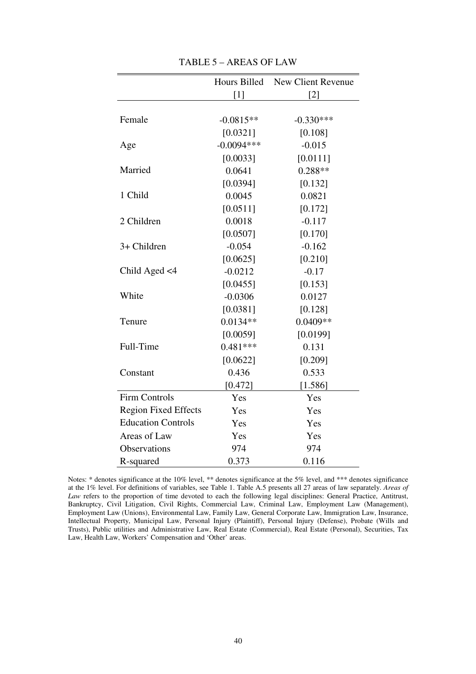|                             | Hours Billed | <b>New Client Revenue</b> |
|-----------------------------|--------------|---------------------------|
|                             | [1]          | $[2]$                     |
|                             |              |                           |
| Female                      | $-0.0815**$  | $-0.330***$               |
|                             | [0.0321]     | [0.108]                   |
| Age                         | $-0.0094***$ | $-0.015$                  |
|                             | [0.0033]     | [0.0111]                  |
| Married                     | 0.0641       | $0.288**$                 |
|                             | [0.0394]     | [0.132]                   |
| 1 Child                     | 0.0045       | 0.0821                    |
|                             | [0.0511]     | [0.172]                   |
| 2 Children                  | 0.0018       | $-0.117$                  |
|                             | [0.0507]     | [0.170]                   |
| 3+ Children                 | $-0.054$     | $-0.162$                  |
|                             | [0.0625]     | [0.210]                   |
| Child Aged <4               | $-0.0212$    | $-0.17$                   |
|                             | [0.0455]     | [0.153]                   |
| White                       | $-0.0306$    | 0.0127                    |
|                             | [0.0381]     | [0.128]                   |
| Tenure                      | $0.0134**$   | $0.0409**$                |
|                             | [0.0059]     | [0.0199]                  |
| Full-Time                   | $0.481***$   | 0.131                     |
|                             | [0.0622]     | [0.209]                   |
| Constant                    | 0.436        | 0.533                     |
|                             | [0.472]      | [1.586]                   |
| <b>Firm Controls</b>        | Yes          | Yes                       |
| <b>Region Fixed Effects</b> | Yes          | Yes                       |
| <b>Education Controls</b>   | Yes          | Yes                       |
| Areas of Law                | Yes          | Yes                       |
| <b>Observations</b>         | 974          | 974                       |
| R-squared                   | 0.373        | 0.116                     |

TABLE 5 – AREAS OF LAW

Notes: \* denotes significance at the 10% level, \*\* denotes significance at the 5% level, and \*\*\* denotes significance at the 1% level. For definitions of variables, see Table 1. Table A.5 presents all 27 areas of law separately. *Areas of Law* refers to the proportion of time devoted to each the following legal disciplines: General Practice, Antitrust, Bankruptcy, Civil Litigation, Civil Rights, Commercial Law, Criminal Law, Employment Law (Management), Employment Law (Unions), Environmental Law, Family Law, General Corporate Law, Immigration Law, Insurance, Intellectual Property, Municipal Law, Personal Injury (Plaintiff), Personal Injury (Defense), Probate (Wills and Trusts), Public utilities and Administrative Law, Real Estate (Commercial), Real Estate (Personal), Securities, Tax Law, Health Law, Workers' Compensation and 'Other' areas.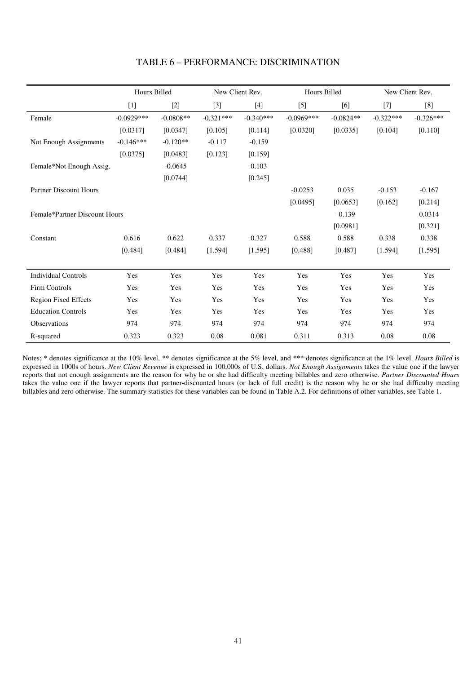|                               |              | Hours Billed<br>New Client Rev.<br>Hours Billed |             |             | New Client Rev. |             |             |             |
|-------------------------------|--------------|-------------------------------------------------|-------------|-------------|-----------------|-------------|-------------|-------------|
|                               |              |                                                 |             |             |                 |             |             |             |
|                               | $[1]$        | $[2]$                                           | $[3]$       | $[4]$       | $[5]$           | [6]         | $[7]$       | [8]         |
| Female                        | $-0.0929***$ | $-0.0808**$                                     | $-0.321***$ | $-0.340***$ | $-0.0969***$    | $-0.0824**$ | $-0.322***$ | $-0.326***$ |
|                               | [0.0317]     | [0.0347]                                        | [0.105]     | [0.114]     | [0.0320]        | [0.0335]    | [0.104]     | [0.110]     |
| Not Enough Assignments        | $-0.146***$  | $-0.120**$                                      | $-0.117$    | $-0.159$    |                 |             |             |             |
|                               | [0.0375]     | [0.0483]                                        | [0.123]     | [0.159]     |                 |             |             |             |
| Female*Not Enough Assig.      |              | $-0.0645$                                       |             | 0.103       |                 |             |             |             |
|                               |              | [0.0744]                                        |             | [0.245]     |                 |             |             |             |
| <b>Partner Discount Hours</b> |              |                                                 |             |             | $-0.0253$       | 0.035       | $-0.153$    | $-0.167$    |
|                               |              |                                                 |             |             | [0.0495]        | [0.0653]    | [0.162]     | [0.214]     |
| Female*Partner Discount Hours |              |                                                 |             |             |                 | $-0.139$    |             | 0.0314      |
|                               |              |                                                 |             |             |                 | [0.0981]    |             | [0.321]     |
| Constant                      | 0.616        | 0.622                                           | 0.337       | 0.327       | 0.588           | 0.588       | 0.338       | 0.338       |
|                               | [0.484]      | [0.484]                                         | [1.594]     | [1.595]     | [0.488]         | [0.487]     | [1.594]     | [1.595]     |
|                               |              |                                                 |             |             |                 |             |             |             |
| <b>Individual Controls</b>    | Yes          | Yes                                             | Yes         | Yes         | Yes             | Yes         | Yes         | Yes         |
| Firm Controls                 | Yes          | Yes                                             | Yes         | Yes         | Yes             | Yes         | Yes         | Yes         |
| <b>Region Fixed Effects</b>   | Yes          | Yes                                             | Yes         | Yes         | Yes             | Yes         | Yes         | Yes         |
| <b>Education Controls</b>     | Yes          | Yes                                             | Yes         | Yes         | Yes             | Yes         | Yes         | Yes         |
| Observations                  | 974          | 974                                             | 974         | 974         | 974             | 974         | 974         | 974         |
| R-squared                     | 0.323        | 0.323                                           | 0.08        | 0.081       | 0.311           | 0.313       | 0.08        | 0.08        |

## TABLE 6 – PERFORMANCE: DISCRIMINATION

Notes: \* denotes significance at the 10% level, \*\* denotes significance at the 5% level, and \*\*\* denotes significance at the 1% level. *Hours Billed* is expressed in 1000s of hours. *New Client Revenue* is expressed in 100,000s of U.S. dollars. *Not Enough Assignments* takes the value one if the lawyer reports that not enough assignments are the reason for why he or she had difficulty meeting billables and zero otherwise. *Partner Discounted Hours* takes the value one if the lawyer reports that partner-discounted hours (or lack of full credit) is the reason why he or she had difficulty meeting billables and zero otherwise. The summary statistics for these variables can be found in Table A.2. For definitions of other variables, see Table 1.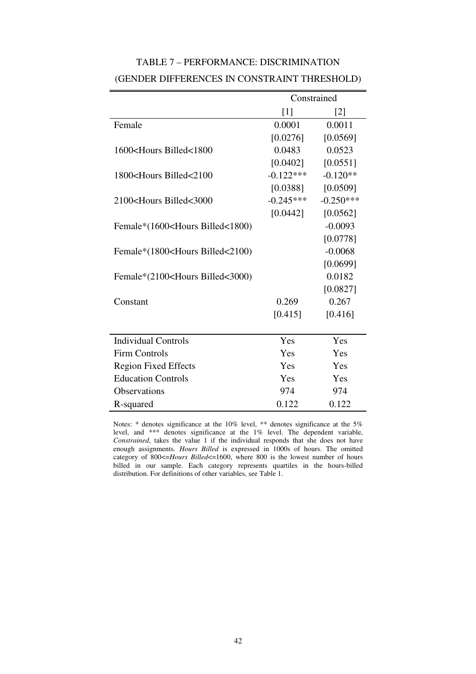|                                                                                                          |             | Constrained       |
|----------------------------------------------------------------------------------------------------------|-------------|-------------------|
|                                                                                                          | [1]         | $\lceil 2 \rceil$ |
| Female                                                                                                   | 0.0001      | 0.0011            |
|                                                                                                          | [0.0276]    | [0.0569]          |
| 1600 <hours billed<1800<="" td=""><td>0.0483</td><td>0.0523</td></hours>                                 | 0.0483      | 0.0523            |
|                                                                                                          | [0.0402]    | [0.0551]          |
| 1800 <hours billed<2100<="" td=""><td><math>-0.122***</math></td><td><math>-0.120**</math></td></hours>  | $-0.122***$ | $-0.120**$        |
|                                                                                                          | [0.0388]    | [0.0509]          |
| 2100 <hours billed<3000<="" td=""><td><math>-0.245***</math></td><td><math>-0.250***</math></td></hours> | $-0.245***$ | $-0.250***$       |
|                                                                                                          | [0.0442]    | [0.0562]          |
| Female*(1600 <hours billed<1800)<="" td=""><td></td><td><math>-0.0093</math></td></hours>                |             | $-0.0093$         |
|                                                                                                          |             | [0.0778]          |
| Female*(1800 <hours billed<2100)<="" td=""><td></td><td><math>-0.0068</math></td></hours>                |             | $-0.0068$         |
|                                                                                                          |             | [0.0699]          |
| Female*(2100 <hours billed<3000)<="" td=""><td></td><td>0.0182</td></hours>                              |             | 0.0182            |
|                                                                                                          |             | [0.0827]          |
| Constant                                                                                                 | 0.269       | 0.267             |
|                                                                                                          | [0.415]     | [0.416]           |
|                                                                                                          |             |                   |
| <b>Individual Controls</b>                                                                               | Yes         | Yes               |
| <b>Firm Controls</b>                                                                                     | Yes         | Yes               |
| <b>Region Fixed Effects</b>                                                                              | Yes         | Yes               |
| <b>Education Controls</b>                                                                                | Yes         | Yes               |
| Observations                                                                                             | 974         | 974               |
| R-squared                                                                                                | 0.122       | 0.122             |

## TABLE 7 – PERFORMANCE: DISCRIMINATION (GENDER DIFFERENCES IN CONSTRAINT THRESHOLD)

Notes: \* denotes significance at the 10% level, \*\* denotes significance at the 5% level, and \*\*\* denotes significance at the 1% level. The dependent variable, *Constrained*, takes the value 1 if the individual responds that she does not have enough assignments. *Hours Billed* is expressed in 1000s of hours. The omitted category of 800 <= *Hours Billed* <= 1600, where 800 is the lowest number of hours billed in our sample. Each category represents quartiles in the hours-billed distribution. For definitions of other variables, see Table 1.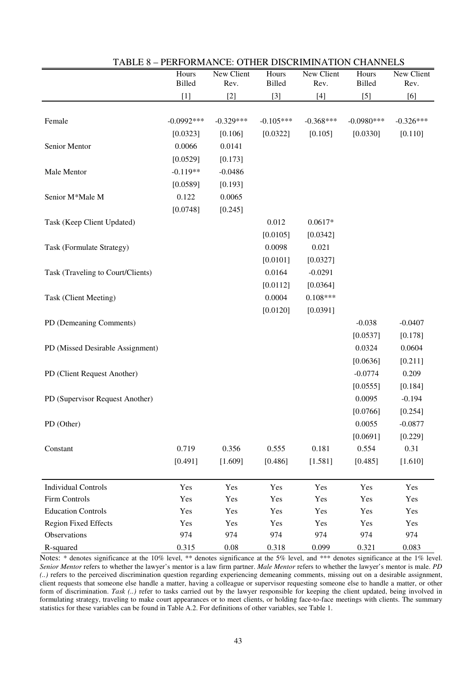| TABLE 8 - PERFORMANCE: OTHER DISCRIMINATION CHANNELS |                        |                    |                        |                    |                 |                    |  |
|------------------------------------------------------|------------------------|--------------------|------------------------|--------------------|-----------------|--------------------|--|
|                                                      | Hours<br><b>Billed</b> | New Client<br>Rev. | Hours<br><b>Billed</b> | New Client<br>Rev. | Hours<br>Billed | New Client<br>Rev. |  |
|                                                      | $[1]$                  | $[2]$              | $[3]$                  | $[4]$              | $[5]$           | [6]                |  |
|                                                      |                        |                    |                        |                    |                 |                    |  |
| Female                                               | $-0.0992***$           | $-0.329***$        | $-0.105***$            | $-0.368***$        | $-0.0980***$    | $-0.326***$        |  |
|                                                      | [0.0323]               | [0.106]            | [0.0322]               | [0.105]            | [0.0330]        | [0.110]            |  |
| Senior Mentor                                        | 0.0066                 | 0.0141             |                        |                    |                 |                    |  |
|                                                      | [0.0529]               | [0.173]            |                        |                    |                 |                    |  |
| Male Mentor                                          | $-0.119**$             | $-0.0486$          |                        |                    |                 |                    |  |
|                                                      | [0.0589]               | [0.193]            |                        |                    |                 |                    |  |
| Senior M*Male M                                      | 0.122                  | 0.0065             |                        |                    |                 |                    |  |
|                                                      | [0.0748]               | [0.245]            |                        |                    |                 |                    |  |
| Task (Keep Client Updated)                           |                        |                    | 0.012                  | $0.0617*$          |                 |                    |  |
|                                                      |                        |                    | [0.0105]               | [0.0342]           |                 |                    |  |
| Task (Formulate Strategy)                            |                        |                    | 0.0098                 | 0.021              |                 |                    |  |
|                                                      |                        |                    | [0.0101]               | [0.0327]           |                 |                    |  |
| Task (Traveling to Court/Clients)                    |                        |                    | 0.0164                 | $-0.0291$          |                 |                    |  |
|                                                      |                        |                    | [0.0112]               | [0.0364]           |                 |                    |  |
| Task (Client Meeting)                                |                        |                    | 0.0004                 | $0.108***$         |                 |                    |  |
|                                                      |                        |                    | [0.0120]               | [0.0391]           |                 |                    |  |
| PD (Demeaning Comments)                              |                        |                    |                        |                    | $-0.038$        | $-0.0407$          |  |
|                                                      |                        |                    |                        |                    | [0.0537]        | [0.178]            |  |
| PD (Missed Desirable Assignment)                     |                        |                    |                        |                    | 0.0324          | 0.0604             |  |
|                                                      |                        |                    |                        |                    | [0.0636]        | [0.211]            |  |
| PD (Client Request Another)                          |                        |                    |                        |                    | $-0.0774$       | 0.209              |  |
|                                                      |                        |                    |                        |                    | [0.0555]        | [0.184]            |  |
| PD (Supervisor Request Another)                      |                        |                    |                        |                    | 0.0095          | $-0.194$           |  |
|                                                      |                        |                    |                        |                    | [0.0766]        | [0.254]            |  |
| PD (Other)                                           |                        |                    |                        |                    | 0.0055          | $-0.0877$          |  |
|                                                      |                        |                    |                        |                    | [0.0691]        | [0.229]            |  |
| Constant                                             | 0.719                  | 0.356              | 0.555                  | 0.181              | 0.554           | 0.31               |  |
|                                                      | [0.491]                | [1.609]            | [0.486]                | [1.581]            | [0.485]         | [1.610]            |  |
|                                                      |                        |                    |                        |                    |                 |                    |  |
| <b>Individual Controls</b>                           | Yes                    | Yes                | Yes                    | Yes                | Yes             | Yes                |  |
| <b>Firm Controls</b>                                 | Yes                    | Yes                | Yes                    | Yes                | Yes             | Yes                |  |
| <b>Education Controls</b>                            | Yes                    | Yes                | Yes                    | Yes                | Yes             | Yes                |  |
| <b>Region Fixed Effects</b>                          | Yes                    | Yes                | Yes                    | Yes                | Yes             | Yes                |  |
| Observations                                         | 974                    | 974                | 974                    | 974                | 974             | 974                |  |
| R-squared                                            | 0.315                  | $0.08\,$           | 0.318                  | 0.099              | 0.321           | 0.083              |  |

Notes: \* denotes significance at the 10% level, \*\* denotes significance at the 5% level, and \*\*\* denotes significance at the 1% level. *Senior Mentor* refers to whether the lawyer's mentor is a law firm partner. *Male Mentor* refers to whether the lawyer's mentor is male. *PD (..)* refers to the perceived discrimination question regarding experiencing demeaning comments, missing out on a desirable assignment, client requests that someone else handle a matter, having a colleague or supervisor requesting someone else to handle a matter, or other form of discrimination. *Task (..)* refer to tasks carried out by the lawyer responsible for keeping the client updated, being involved in formulating strategy, traveling to make court appearances or to meet clients, or holding face-to-face meetings with clients. The summary statistics for these variables can be found in Table A.2. For definitions of other variables, see Table 1.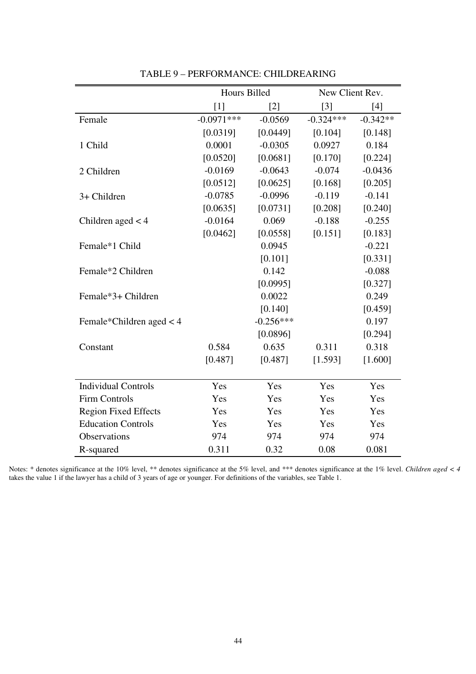|                             | Hours Billed |             | New Client Rev. |            |
|-----------------------------|--------------|-------------|-----------------|------------|
|                             | [1]          | $[2]$       | [3]             | [4]        |
| Female                      | $-0.0971***$ | $-0.0569$   | $-0.324***$     | $-0.342**$ |
|                             | [0.0319]     | [0.0449]    | [0.104]         | [0.148]    |
| 1 Child                     | 0.0001       | $-0.0305$   | 0.0927          | 0.184      |
|                             | [0.0520]     | [0.0681]    | [0.170]         | [0.224]    |
| 2 Children                  | $-0.0169$    | $-0.0643$   | $-0.074$        | $-0.0436$  |
|                             | [0.0512]     | [0.0625]    | [0.168]         | [0.205]    |
| 3+ Children                 | $-0.0785$    | $-0.0996$   | $-0.119$        | $-0.141$   |
|                             | [0.0635]     | [0.0731]    | [0.208]         | [0.240]    |
| Children aged $<$ 4         | $-0.0164$    | 0.069       | $-0.188$        | $-0.255$   |
|                             | [0.0462]     | [0.0558]    | [0.151]         | [0.183]    |
| Female*1 Child              |              | 0.0945      |                 | $-0.221$   |
|                             |              | [0.101]     |                 | [0.331]    |
| Female*2 Children           |              | 0.142       |                 | $-0.088$   |
|                             |              | [0.0995]    |                 | [0.327]    |
| Female*3+ Children          |              | 0.0022      |                 | 0.249      |
|                             |              | [0.140]     |                 | [0.459]    |
| Female*Children aged $<$ 4  |              | $-0.256***$ |                 | 0.197      |
|                             |              | [0.0896]    |                 | [0.294]    |
| Constant                    | 0.584        | 0.635       | 0.311           | 0.318      |
|                             | [0.487]      | [0.487]     | [1.593]         | [1.600]    |
|                             |              |             |                 |            |
| <b>Individual Controls</b>  | Yes          | Yes         | Yes             | Yes        |
| <b>Firm Controls</b>        | Yes          | Yes         | Yes             | Yes        |
| <b>Region Fixed Effects</b> | Yes          | Yes         | Yes             | Yes        |
| <b>Education Controls</b>   | Yes          | Yes         | Yes             | Yes        |
| Observations                | 974          | 974         | 974             | 974        |
| R-squared                   | 0.311        | 0.32        | 0.08            | 0.081      |

TABLE 9 – PERFORMANCE: CHILDREARING

Notes: \* denotes significance at the 10% level, \*\* denotes significance at the 5% level, and \*\*\* denotes significance at the 1% level. *Children aged < 4* takes the value 1 if the lawyer has a child of 3 years of age or younger. For definitions of the variables, see Table 1.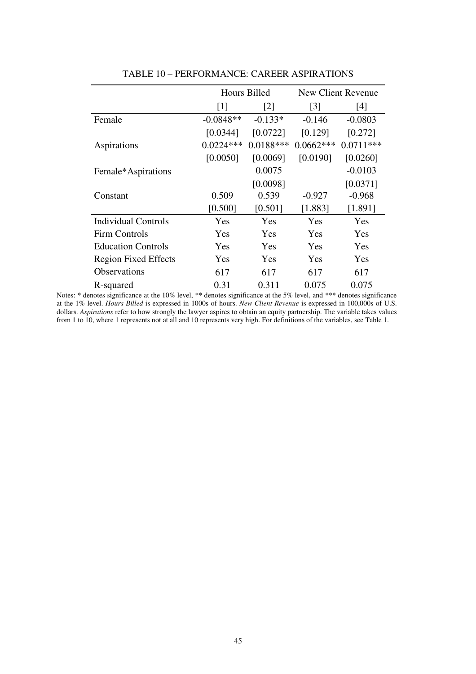|                             |             | Hours Billed      |                   | New Client Revenue |
|-----------------------------|-------------|-------------------|-------------------|--------------------|
|                             | [1]         | $\lceil 2 \rceil$ | $\lceil 3 \rceil$ | $[4]$              |
| Female                      | $-0.0848**$ | $-0.133*$         | $-0.146$          | $-0.0803$          |
|                             | [0.0344]    | [0.0722]          | [0.129]           | [0.272]            |
| Aspirations                 | $0.0224***$ | $0.0188***$       | $0.0662***$       | $0.0711***$        |
|                             | [0.0050]    | [0.0069]          | [0.0190]          | [0.0260]           |
| Female*Aspirations          |             | 0.0075            |                   | $-0.0103$          |
|                             |             | [0.0098]          |                   | [0.0371]           |
| Constant                    | 0.509       | 0.539             | $-0.927$          | $-0.968$           |
|                             | [0.500]     | [0.501]           | [1.883]           | [1.891]            |
| <b>Individual Controls</b>  | Yes         | Yes               | Yes               | Yes                |
| <b>Firm Controls</b>        | Yes         | Yes               | <b>Yes</b>        | Yes                |
| <b>Education Controls</b>   | Yes         | <b>Yes</b>        | <b>Yes</b>        | <b>Yes</b>         |
| <b>Region Fixed Effects</b> | Yes         | Yes               | Yes               | Yes                |
| <b>Observations</b>         | 617         | 617               | 617               | 617                |
| R-squared                   | 0.31        | 0.311             | 0.075             | 0.075              |

## TABLE 10 – PERFORMANCE: CAREER ASPIRATIONS

Notes: \* denotes significance at the 10% level, \*\* denotes significance at the 5% level, and \*\*\* denotes significance at the 1% level. *Hours Billed* is expressed in 1000s of hours. *New Client Revenue* is expressed in 100,000s of U.S. dollars. *Aspirations* refer to how strongly the lawyer aspires to obtain an equity partnership. The variable takes values from 1 to 10, where 1 represents not at all and 10 represents very high. For definitions of the variables, see Table 1.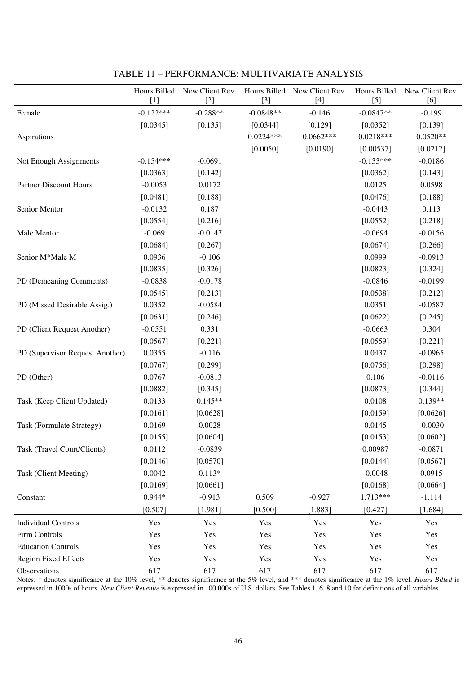|                                 | Hours Billed<br>$[1]$ | New Client Rev.<br>$[2]$ | $[3]$       | Hours Billed New Client Rev.<br>$[4]$ | Hours Billed<br>$[5]$ | New Client Rev.<br>[6] |
|---------------------------------|-----------------------|--------------------------|-------------|---------------------------------------|-----------------------|------------------------|
| Female                          | $-0.122***$           | $-0.288**$               | $-0.0848**$ | $-0.146$                              | $-0.0847**$           | $-0.199$               |
|                                 | [0.0345]              | [0.135]                  | [0.0344]    | [0.129]                               | [0.0352]              | [0.139]                |
| Aspirations                     |                       |                          | $0.0224***$ | $0.0662***$                           | $0.0218***$           | $0.0520**$             |
|                                 |                       |                          | [0.0050]    | [0.0190]                              | [0.00537]             | [0.0212]               |
| Not Enough Assignments          | $-0.154***$           | $-0.0691$                |             |                                       | $-0.133***$           | $-0.0186$              |
|                                 | [0.0363]              | [0.142]                  |             |                                       | [0.0362]              | [0.143]                |
| <b>Partner Discount Hours</b>   | $-0.0053$             | 0.0172                   |             |                                       | 0.0125                | 0.0598                 |
|                                 | [0.0481]              | [0.188]                  |             |                                       | [0.0476]              | [0.188]                |
| Senior Mentor                   | $-0.0132$             | 0.187                    |             |                                       | $-0.0443$             | 0.113                  |
|                                 | [0.0554]              | [0.216]                  |             |                                       | [0.0552]              | [0.218]                |
| Male Mentor                     | $-0.069$              | $-0.0147$                |             |                                       | $-0.0694$             | $-0.0156$              |
|                                 | [0.0684]              | [0.267]                  |             |                                       | [0.0674]              | [0.266]                |
| Senior M*Male M                 | 0.0936                | $-0.106$                 |             |                                       | 0.0999                | $-0.0913$              |
|                                 | [0.0835]              | [0.326]                  |             |                                       | [0.0823]              | [0.324]                |
| PD (Demeaning Comments)         | $-0.0838$             | $-0.0178$                |             |                                       | $-0.0846$             | $-0.0199$              |
|                                 | [0.0545]              | [0.213]                  |             |                                       | [0.0538]              | [0.212]                |
| PD (Missed Desirable Assig.)    | 0.0352                | $-0.0584$                |             |                                       | 0.0351                | $-0.0587$              |
|                                 | [0.0631]              | [0.246]                  |             |                                       | [0.0622]              | [0.245]                |
| PD (Client Request Another)     | $-0.0551$             | 0.331                    |             |                                       | $-0.0663$             | 0.304                  |
|                                 | [0.0567]              | [0.221]                  |             |                                       | [0.0559]              | [0.221]                |
| PD (Supervisor Request Another) | 0.0355                | $-0.116$                 |             |                                       | 0.0437                | $-0.0965$              |
|                                 | [0.0767]              | [0.299]                  |             |                                       | [0.0756]              | [0.298]                |
| PD (Other)                      | 0.0767                | $-0.0813$                |             |                                       | 0.106                 | $-0.0116$              |
|                                 | [0.0882]              | [0.345]                  |             |                                       | [0.0873]              | [0.344]                |
| Task (Keep Client Updated)      | 0.0133                | $0.145**$                |             |                                       | 0.0108                | $0.139**$              |
|                                 | [0.0161]              | [0.0628]                 |             |                                       | [0.0159]              | [0.0626]               |
| Task (Formulate Strategy)       | 0.0169                | 0.0028                   |             |                                       | 0.0145                | $-0.0030$              |
|                                 | [0.0155]              | [0.0604]                 |             |                                       | [0.0153]              | [0.0602]               |
| Task (Travel Court/Clients)     | 0.0112                | $-0.0839$                |             |                                       | 0.00987               | $-0.0871$              |
|                                 | [0.0146]              | [0.0570]                 |             |                                       | [0.0144]              | [0.0567]               |
| Task (Client Meeting)           | 0.0042                | $0.113*$                 |             |                                       | $-0.0048$             | 0.0915                 |
|                                 | [0.0169]              | [0.0661]                 |             |                                       | [0.0168]              | [0.0664]               |
| Constant                        | $0.944*$              | $-0.913$                 | 0.509       | $-0.927$                              | 1.713***              | $-1.114$               |
|                                 | [0.507]               | [1.981]                  | [0.500]     | [1.883]                               | [0.427]               | [1.684]                |
| <b>Individual Controls</b>      | Yes                   | Yes                      | Yes         | Yes                                   | Yes                   | Yes                    |
| Firm Controls                   | Yes                   | Yes                      | Yes         | Yes                                   | Yes                   | Yes                    |
| <b>Education Controls</b>       | Yes                   | Yes                      | Yes         | Yes                                   | Yes                   | Yes                    |
| Region Fixed Effects            | Yes                   | Yes                      | Yes         | Yes                                   | Yes                   | Yes                    |
| Observations                    | 617                   | 617                      | 617         | 617                                   | 617                   | 617                    |

## TABLE 11 – PERFORMANCE: MULTIVARIATE ANALYSIS

Notes: \* denotes significance at the 10% level, \*\* denotes significance at the 5% level, and \*\*\* denotes significance at the 1% level. *Hours Billed* is expressed in 1000s of hours. *New Client Revenue* is expressed in 100,000s of U.S. dollars. See Tables 1, 6, 8 and 10 for definitions of all variables.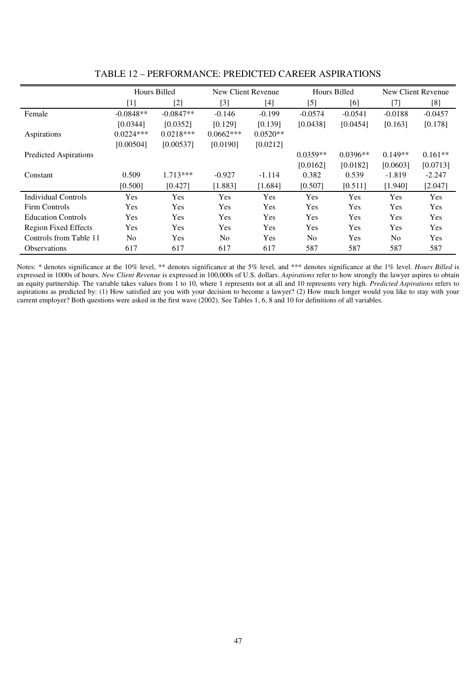|                             |                | Hours Billed |             | New Client Revenue |            | Hours Billed |                                                                                                                                                                                                                   | New Client Revenue |
|-----------------------------|----------------|--------------|-------------|--------------------|------------|--------------|-------------------------------------------------------------------------------------------------------------------------------------------------------------------------------------------------------------------|--------------------|
|                             | $[1]$          | $[2]$        | $[3]$       | [4]                | $[5]$      | [6]          | $[7] \centering% \includegraphics[width=1\textwidth]{images/TransY.pdf} \caption{The 3D maps of the estimators in the estimators. The three different states are shown in the left and right.} \label{fig:class}$ | [8]                |
| Female                      | $-0.0848**$    | $-0.0847**$  | $-0.146$    | $-0.199$           | $-0.0574$  | $-0.0541$    | $-0.0188$                                                                                                                                                                                                         | $-0.0457$          |
|                             | [0.0344]       | [0.0352]     | [0.129]     | [0.139]            | [0.0438]   | [0.0454]     | [0.163]                                                                                                                                                                                                           | [0.178]            |
| Aspirations                 | $0.0224***$    | $0.0218***$  | $0.0662***$ | $0.0520**$         |            |              |                                                                                                                                                                                                                   |                    |
|                             | [0.00504]      | [0.00537]    | [0.0190]    | [0.0212]           |            |              |                                                                                                                                                                                                                   |                    |
| Predicted Aspirations       |                |              |             |                    | $0.0359**$ | $0.0396**$   | $0.149**$                                                                                                                                                                                                         | $0.161**$          |
|                             |                |              |             |                    | [0.0162]   | [0.0182]     | [0.0603]                                                                                                                                                                                                          | [0.0713]           |
| Constant                    | 0.509          | $1.713***$   | $-0.927$    | $-1.114$           | 0.382      | 0.539        | $-1.819$                                                                                                                                                                                                          | $-2.247$           |
|                             | [0.500]        | [0.427]      | [1.883]     | [1.684]            | [0.507]    | [0.511]      | [1.940]                                                                                                                                                                                                           | [2.047]            |
| <b>Individual Controls</b>  | Yes            | Yes          | Yes         | Yes                | Yes        | Yes          | Yes                                                                                                                                                                                                               | Yes                |
| Firm Controls               | Yes            | Yes          | Yes         | Yes                | Yes        | Yes          | Yes                                                                                                                                                                                                               | <b>Yes</b>         |
| <b>Education Controls</b>   | Yes            | Yes          | Yes         | <b>Yes</b>         | Yes        | <b>Yes</b>   | Yes                                                                                                                                                                                                               | <b>Yes</b>         |
| <b>Region Fixed Effects</b> | <b>Yes</b>     | Yes          | Yes         | Yes                | Yes        | Yes          | Yes                                                                                                                                                                                                               | Yes                |
| Controls from Table 11      | N <sub>0</sub> | <b>Yes</b>   | No.         | <b>Yes</b>         | No.        | <b>Yes</b>   | N <sub>0</sub>                                                                                                                                                                                                    | <b>Yes</b>         |
| <b>Observations</b>         | 617            | 617          | 617         | 617                | 587        | 587          | 587                                                                                                                                                                                                               | 587                |

## TABLE 12 – PERFORMANCE: PREDICTED CAREER ASPIRATIONS

Notes: \* denotes significance at the 10% level, \*\* denotes significance at the 5% level, and \*\*\* denotes significance at the 1% level. *Hours Billed* is expressed in 1000s of hours. *New Client Revenue* is expressed in 100,000s of U.S. dollars. *Aspirations* refer to how strongly the lawyer aspires to obtain an equity partnership. The variable takes values from 1 to 10, where 1 represents not at all and 10 represents very high. *Predicted Aspirations* refers to aspirations as predicted by: (1) How satisfied are you with your decision to become a lawyer? (2) How much longer would you like to stay with your current employer? Both questions were asked in the first wave (2002). See Tables 1, 6, 8 and 10 for definitions of all variables.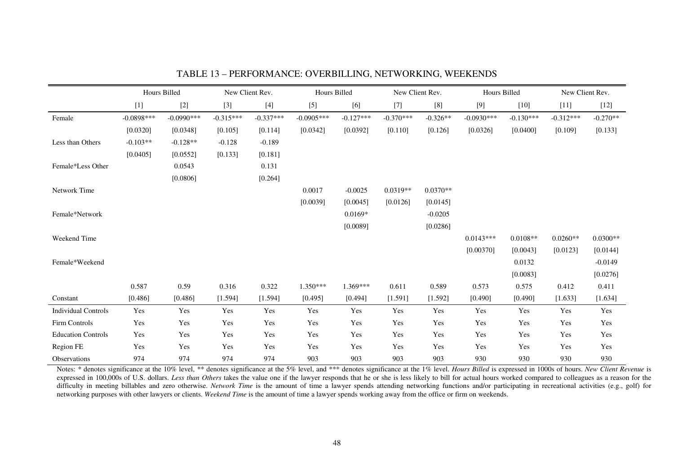|                            | Hours Billed |              |             | New Client Rev. | Hours Billed |             | New Client Rev. |            | Hours Billed |             | New Client Rev. |            |
|----------------------------|--------------|--------------|-------------|-----------------|--------------|-------------|-----------------|------------|--------------|-------------|-----------------|------------|
|                            | $[1]$        | $[2]$        | $[3]$       | $[4]$           | $[5]$        | $[6]$       | $[7]$           | [8]        | $[9]$        | $[10]$      | $[11]$          | $[12]$     |
| Female                     | $-0.0898***$ | $-0.0990***$ | $-0.315***$ | $-0.337***$     | $-0.0905***$ | $-0.127***$ | $-0.370***$     | $-0.326**$ | $-0.0930***$ | $-0.130***$ | $-0.312***$     | $-0.270**$ |
|                            | [0.0320]     | [0.0348]     | [0.105]     | [0.114]         | [0.0342]     | [0.0392]    | [0.110]         | [0.126]    | [0.0326]     | [0.0400]    | [0.109]         | [0.133]    |
| Less than Others           | $-0.103**$   | $-0.128**$   | $-0.128$    | $-0.189$        |              |             |                 |            |              |             |                 |            |
|                            | [0.0405]     | [0.0552]     | [0.133]     | [0.181]         |              |             |                 |            |              |             |                 |            |
| Female*Less Other          |              | 0.0543       |             | 0.131           |              |             |                 |            |              |             |                 |            |
|                            |              | [0.0806]     |             | [0.264]         |              |             |                 |            |              |             |                 |            |
| Network Time               |              |              |             |                 | 0.0017       | $-0.0025$   | $0.0319**$      | $0.0370**$ |              |             |                 |            |
|                            |              |              |             |                 | [0.0039]     | [0.0045]    | [0.0126]        | [0.0145]   |              |             |                 |            |
| Female*Network             |              |              |             |                 |              | $0.0169*$   |                 | $-0.0205$  |              |             |                 |            |
|                            |              |              |             |                 |              | [0.0089]    |                 | [0.0286]   |              |             |                 |            |
| Weekend Time               |              |              |             |                 |              |             |                 |            | $0.0143***$  | $0.0108**$  | $0.0260**$      | $0.0300**$ |
|                            |              |              |             |                 |              |             |                 |            | [0.00370]    | [0.0043]    | [0.0123]        | [0.0144]   |
| Female*Weekend             |              |              |             |                 |              |             |                 |            |              | 0.0132      |                 | $-0.0149$  |
|                            |              |              |             |                 |              |             |                 |            |              | [0.0083]    |                 | [0.0276]   |
|                            | 0.587        | 0.59         | 0.316       | 0.322           | $1.350***$   | $1.369***$  | 0.611           | 0.589      | 0.573        | 0.575       | 0.412           | 0.411      |
| Constant                   | [0.486]      | [0.486]      | [1.594]     | [1.594]         | [0.495]      | [0.494]     | [1.591]         | [1.592]    | [0.490]      | [0.490]     | [1.633]         | [1.634]    |
| <b>Individual Controls</b> | Yes          | Yes          | Yes         | Yes             | Yes          | Yes         | Yes             | Yes        | Yes          | Yes         | Yes             | Yes        |
| Firm Controls              | Yes          | Yes          | Yes         | Yes             | Yes          | Yes         | Yes             | Yes        | Yes          | Yes         | Yes             | Yes        |
| <b>Education Controls</b>  | Yes          | Yes          | Yes         | Yes             | Yes          | Yes         | Yes             | Yes        | Yes          | Yes         | Yes             | Yes        |
| Region FE                  | Yes          | Yes          | Yes         | Yes             | Yes          | Yes         | Yes             | Yes        | Yes          | Yes         | Yes             | Yes        |
| Observations               | 974          | 974          | 974         | 974             | 903          | 903         | 903             | 903        | 930          | 930         | 930             | 930        |

#### TABLE 13 – PERFORMANCE: OVERBILLING, NETWORKING, WEEKENDS

Notes: \* denotes significance at the 10% level, \*\* denotes significance at the 5% level, and \*\*\* denotes significance at the 1% level. *Hours Billed* is expressed in 1000s of hours. *New Client Revenue* is expressed in 100,000s of U.S. dollars. *Less than Others* takes the value one if the lawyer responds that he or she is less likely to bill for actual hours worked compared to colleagues as a reason for the difficulty in meeting billables and zero otherwise. Network Time is the amount of time a lawyer spends attending networking functions and/or participating in recreational activities (e.g., golf) for networking purposes with other lawyers or clients. *Weekend Time* is the amount of time a lawyer spends working away from the office or firm on weekends.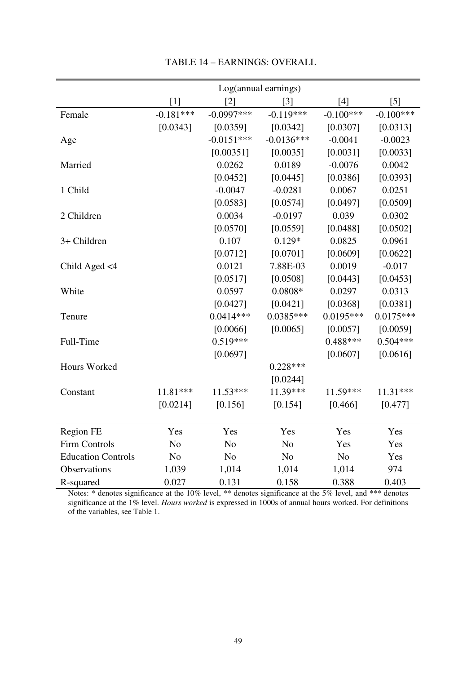|                           | Log(annual earnings) |                   |                |                |             |  |
|---------------------------|----------------------|-------------------|----------------|----------------|-------------|--|
|                           | [1]                  | $\lceil 2 \rceil$ | $[3]$          | $[4]$          | [5]         |  |
| Female                    | $-0.181***$          | $-0.0997***$      | $-0.119***$    | $-0.100***$    | $-0.100***$ |  |
|                           | [0.0343]             | [0.0359]          | [0.0342]       | [0.0307]       | [0.0313]    |  |
| Age                       |                      | $-0.0151***$      | $-0.0136***$   | $-0.0041$      | $-0.0023$   |  |
|                           |                      | [0.00351]         | [0.0035]       | [0.0031]       | [0.0033]    |  |
| Married                   |                      | 0.0262            | 0.0189         | $-0.0076$      | 0.0042      |  |
|                           |                      | [0.0452]          | [0.0445]       | [0.0386]       | [0.0393]    |  |
| 1 Child                   |                      | $-0.0047$         | $-0.0281$      | 0.0067         | 0.0251      |  |
|                           |                      | [0.0583]          | [0.0574]       | [0.0497]       | [0.0509]    |  |
| 2 Children                |                      | 0.0034            | $-0.0197$      | 0.039          | 0.0302      |  |
|                           |                      | [0.0570]          | [0.0559]       | [0.0488]       | [0.0502]    |  |
| 3+ Children               |                      | 0.107             | $0.129*$       | 0.0825         | 0.0961      |  |
|                           |                      | [0.0712]          | [0.0701]       | [0.0609]       | [0.0622]    |  |
| Child Aged <4             |                      | 0.0121            | 7.88E-03       | 0.0019         | $-0.017$    |  |
|                           |                      | [0.0517]          | [0.0508]       | [0.0443]       | [0.0453]    |  |
| White                     |                      | 0.0597            | $0.0808*$      | 0.0297         | 0.0313      |  |
|                           |                      | [0.0427]          | [0.0421]       | [0.0368]       | [0.0381]    |  |
| Tenure                    |                      | $0.0414***$       | $0.0385***$    | $0.0195***$    | $0.0175***$ |  |
|                           |                      | [0.0066]          | [0.0065]       | [0.0057]       | [0.0059]    |  |
| Full-Time                 |                      | $0.519***$        |                | $0.488***$     | $0.504***$  |  |
|                           |                      | [0.0697]          |                | [0.0607]       | [0.0616]    |  |
| Hours Worked              |                      |                   | $0.228***$     |                |             |  |
|                           |                      |                   | [0.0244]       |                |             |  |
| Constant                  | 11.81***             | $11.53***$        | 11.39***       | $11.59***$     | 11.31***    |  |
|                           | [0.0214]             | [0.156]           | [0.154]        | [0.466]        | [0.477]     |  |
| Region FE                 | Yes                  | Yes               | Yes            | Yes            | Yes         |  |
| Firm Controls             | N <sub>o</sub>       | N <sub>o</sub>    | N <sub>o</sub> | Yes            | Yes         |  |
| <b>Education Controls</b> | No                   | N <sub>o</sub>    | N <sub>o</sub> | N <sub>o</sub> | Yes         |  |
| Observations              | 1,039                | 1,014             | 1,014          | 1,014          | 974         |  |
| R-squared                 | 0.027                | 0.131             | 0.158          | 0.388          | 0.403       |  |

TABLE 14 – EARNINGS: OVERALL

Notes: \* denotes significance at the 10% level, \*\* denotes significance at the 5% level, and \*\*\* denotes significance at the 1% level. *Hours worked* is expressed in 1000s of annual hours worked. For definitions of the variables, see Table 1.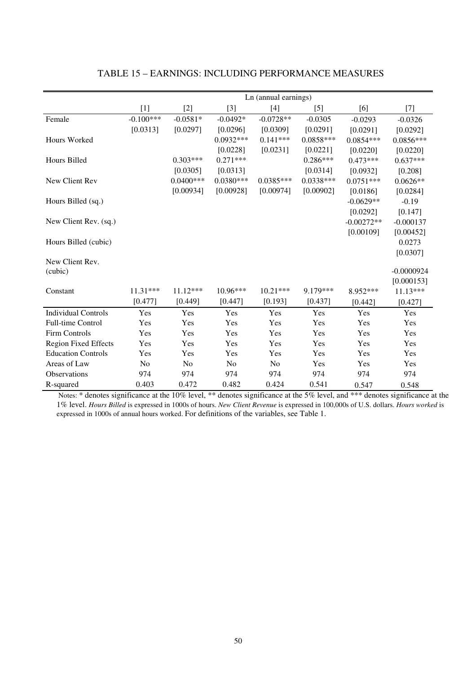|                             | Ln (annual earnings) |             |             |             |             |              |              |
|-----------------------------|----------------------|-------------|-------------|-------------|-------------|--------------|--------------|
|                             | $[1]$                | $[2]$       | $[3]$       | $[4]$       | $[5]$       | [6]          | $[7]$        |
| Female                      | $-0.100***$          | $-0.0581*$  | $-0.0492*$  | $-0.0728**$ | $-0.0305$   | $-0.0293$    | $-0.0326$    |
|                             | [0.0313]             | [0.0297]    | [0.0296]    | [0.0309]    | [0.0291]    | [0.0291]     | [0.0292]     |
| Hours Worked                |                      |             | $0.0932***$ | $0.141***$  | $0.0858***$ | $0.0854***$  | $0.0856***$  |
|                             |                      |             | [0.0228]    | [0.0231]    | [0.0221]    | [0.0220]     | [0.0220]     |
| Hours Billed                |                      | $0.303***$  | $0.271***$  |             | $0.286***$  | $0.473***$   | $0.637***$   |
|                             |                      | [0.0305]    | [0.0313]    |             | [0.0314]    | [0.0932]     | [0.208]      |
| New Client Rev              |                      | $0.0400***$ | $0.0380***$ | $0.0385***$ | $0.0338***$ | $0.0751***$  | $0.0626**$   |
|                             |                      | [0.00934]   | [0.00928]   | [0.00974]   | [0.00902]   | [0.0186]     | [0.0284]     |
| Hours Billed (sq.)          |                      |             |             |             |             | $-0.0629**$  | $-0.19$      |
|                             |                      |             |             |             |             | [0.0292]     | [0.147]      |
| New Client Rev. (sq.)       |                      |             |             |             |             | $-0.00272**$ | $-0.000137$  |
|                             |                      |             |             |             |             | [0.00109]    | [0.00452]    |
| Hours Billed (cubic)        |                      |             |             |             |             |              | 0.0273       |
|                             |                      |             |             |             |             |              | [0.0307]     |
| New Client Rev.             |                      |             |             |             |             |              |              |
| (cubic)                     |                      |             |             |             |             |              | $-0.0000924$ |
|                             |                      |             |             |             |             |              | [0.000153]   |
| Constant                    | $11.31***$           | $11.12***$  | 10.96***    | $10.21***$  | 9.179***    | 8.952 ***    | 11.13***     |
|                             | [0.477]              | [0.449]     | [0.447]     | [0.193]     | [0.437]     | [0.442]      | [0.427]      |
| <b>Individual Controls</b>  | Yes                  | Yes         | Yes         | Yes         | Yes         | Yes          | Yes          |
| Full-time Control           | Yes                  | Yes         | Yes         | Yes         | Yes         | Yes          | Yes          |
| <b>Firm Controls</b>        | Yes                  | Yes         | Yes         | Yes         | Yes         | Yes          | Yes          |
| <b>Region Fixed Effects</b> | Yes                  | Yes         | Yes         | Yes         | Yes         | Yes          | Yes          |
| <b>Education Controls</b>   | Yes                  | Yes         | Yes         | Yes         | Yes         | Yes          | Yes          |
| Areas of Law                | No                   | No          | No          | No          | Yes         | Yes          | Yes          |
| Observations                | 974                  | 974         | 974         | 974         | 974         | 974          | 974          |
| R-squared                   | 0.403                | 0.472       | 0.482       | 0.424       | 0.541       | 0.547        | 0.548        |

## TABLE 15 – EARNINGS: INCLUDING PERFORMANCE MEASURES

Notes: \* denotes significance at the 10% level, \*\* denotes significance at the 5% level, and \*\*\* denotes significance at the 1% level. *Hours Billed* is expressed in 1000s of hours. *New Client Revenue* is expressed in 100,000s of U.S. dollars. *Hours worked* is expressed in 1000s of annual hours worked. For definitions of the variables, see Table 1.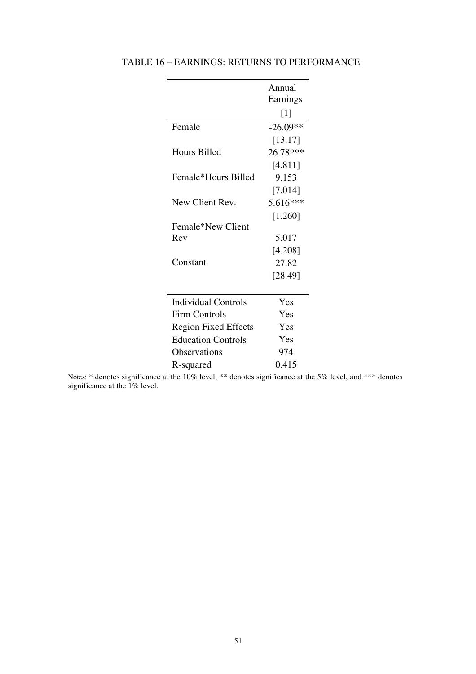|                             | Annual     |
|-----------------------------|------------|
|                             | Earnings   |
|                             | $[1]$      |
| Female                      | $-26.09**$ |
|                             | [13.17]    |
| Hours Billed                | 26.78***   |
|                             | [4.811]    |
| Female*Hours Billed         | 9.153      |
|                             | [7.014]    |
| New Client Rev.             | 5.616***   |
|                             | [1.260]    |
| Female*New Client           |            |
| Rev                         | 5.017      |
|                             | [4.208]    |
| Constant                    | 27.82      |
|                             | [28.49]    |
|                             |            |
| <b>Individual Controls</b>  | Yes        |
| Firm Controls               | Yes        |
| <b>Region Fixed Effects</b> | Yes        |
| <b>Education Controls</b>   | Yes        |
| Observations                | 974        |
| R-squared                   | 0.415      |
|                             |            |

### TABLE 16 – EARNINGS: RETURNS TO PERFORMANCE

Notes: \* denotes significance at the 10% level, \*\* denotes significance at the 5% level, and \*\*\* denotes significance at the 1% level.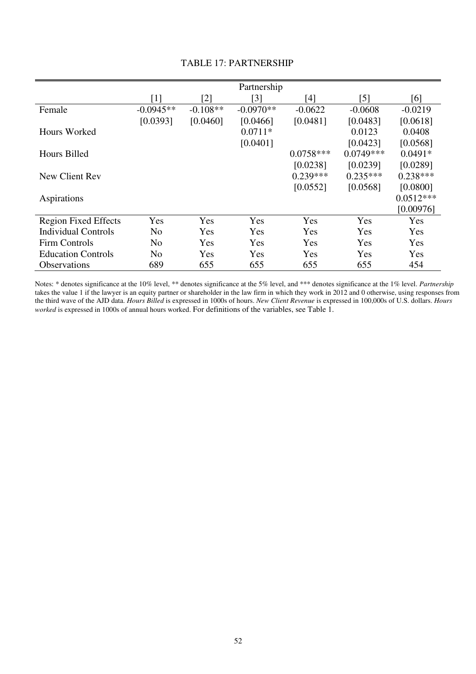|                             |                   |            | Partnership |             |             |             |
|-----------------------------|-------------------|------------|-------------|-------------|-------------|-------------|
|                             | $\lceil 1 \rceil$ | [2]        | [3]         | [4]         | [5]         | [6]         |
| Female                      | $-0.0945**$       | $-0.108**$ | $-0.0970**$ | $-0.0622$   | $-0.0608$   | $-0.0219$   |
|                             | [0.0393]          | [0.0460]   | [0.0466]    | [0.0481]    | [0.0483]    | [0.0618]    |
| Hours Worked                |                   |            | $0.0711*$   |             | 0.0123      | 0.0408      |
|                             |                   |            | [0.0401]    |             | [0.0423]    | [0.0568]    |
| Hours Billed                |                   |            |             | $0.0758***$ | $0.0749***$ | $0.0491*$   |
|                             |                   |            |             | [0.0238]    | [0.0239]    | [0.0289]    |
| New Client Rev              |                   |            |             | $0.239***$  | $0.235***$  | $0.238***$  |
|                             |                   |            |             | [0.0552]    | [0.0568]    | [0.0800]    |
| Aspirations                 |                   |            |             |             |             | $0.0512***$ |
|                             |                   |            |             |             |             | [0.00976]   |
| <b>Region Fixed Effects</b> | Yes               | Yes        | Yes         | Yes         | Yes         | Yes         |
| Individual Controls         | N <sub>o</sub>    | Yes        | Yes         | Yes         | Yes         | Yes         |
| <b>Firm Controls</b>        | N <sub>0</sub>    | Yes        | Yes         | Yes         | Yes         | Yes         |
| <b>Education Controls</b>   | N <sub>0</sub>    | Yes        | Yes         | Yes         | Yes         | Yes         |
| <b>Observations</b>         | 689               | 655        | 655         | 655         | 655         | 454         |

## TABLE 17: PARTNERSHIP

Notes: \* denotes significance at the 10% level, \*\* denotes significance at the 5% level, and \*\*\* denotes significance at the 1% level. *Partnership* takes the value 1 if the lawyer is an equity partner or shareholder in the law firm in which they work in 2012 and 0 otherwise, using responses from the third wave of the AJD data. *Hours Billed* is expressed in 1000s of hours. *New Client Revenue* is expressed in 100,000s of U.S. dollars. *Hours worked* is expressed in 1000s of annual hours worked. For definitions of the variables, see Table 1.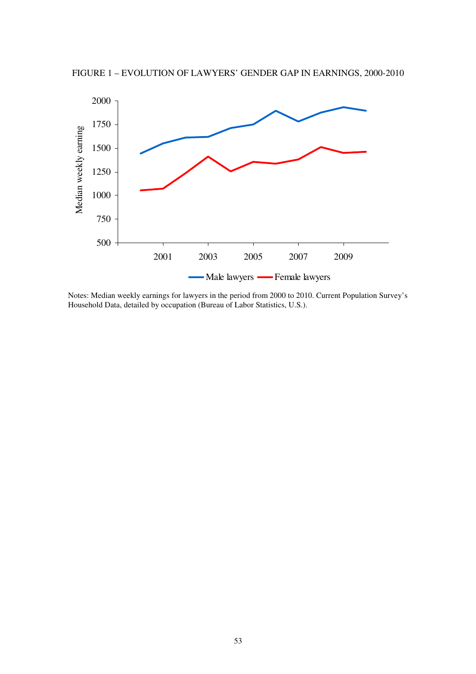

Notes: Median weekly earnings for lawyers in the period from 2000 to 2010. Current Population Survey's Household Data, detailed by occupation (Bureau of Labor Statistics, U.S.).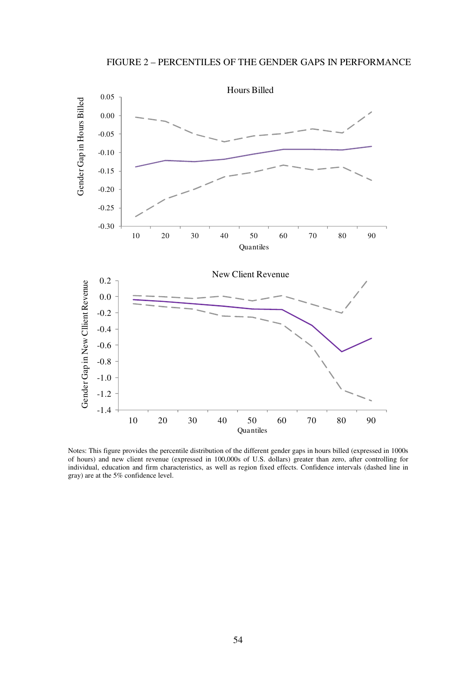

Notes: This figure provides the percentile distribution of the different gender gaps in hours billed (expressed in 1000s of hours) and new client revenue (expressed in 100,000s of U.S. dollars) greater than zero, after controlling for individual, education and firm characteristics, as well as region fixed effects. Confidence intervals (dashed line in gray) are at the 5% confidence level.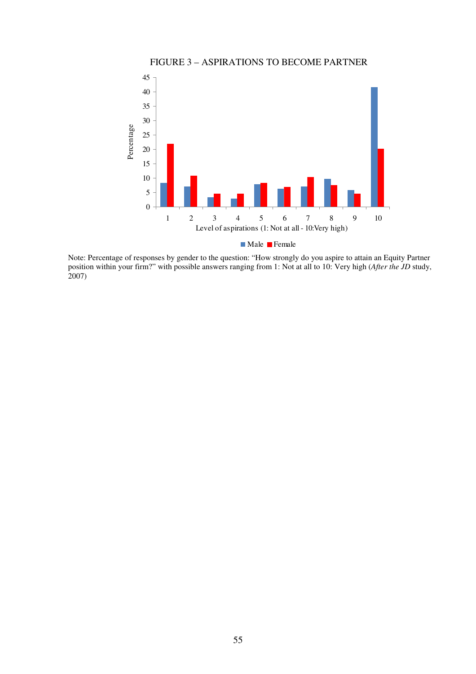

Note: Percentage of responses by gender to the question: "How strongly do you aspire to attain an Equity Partner position within your firm?" with possible answers ranging from 1: Not at all to 10: Very high (*After the JD* study, )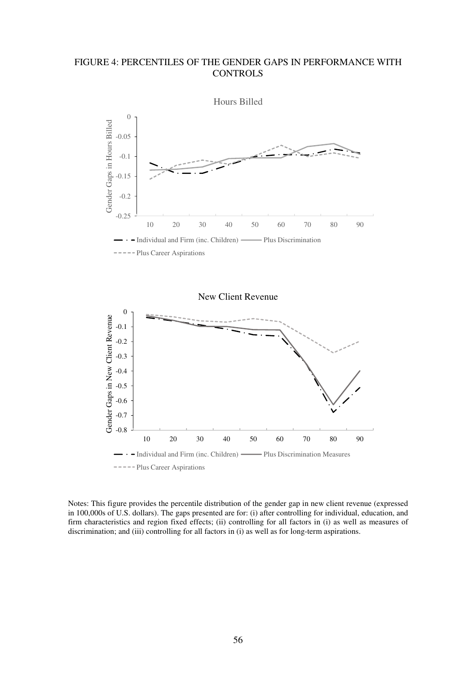### FIGURE 4: PERCENTILES OF THE GENDER GAPS IN PERFORMANCE WITH **CONTROLS**



 $\longrightarrow$  Individual and Firm (inc. Children) Plus Discrimination Measures

---- Plus Career Aspirations

Notes: This figure provides the percentile distribution of the gender gap in new client revenue (expressed in 100,000s of U.S. dollars). The gaps presented are for: (i) after controlling for individual, education, and firm characteristics and region fixed effects; (ii) controlling for all factors in (i) as well as measures of discrimination; and (iii) controlling for all factors in (i) as well as for long-term aspirations.